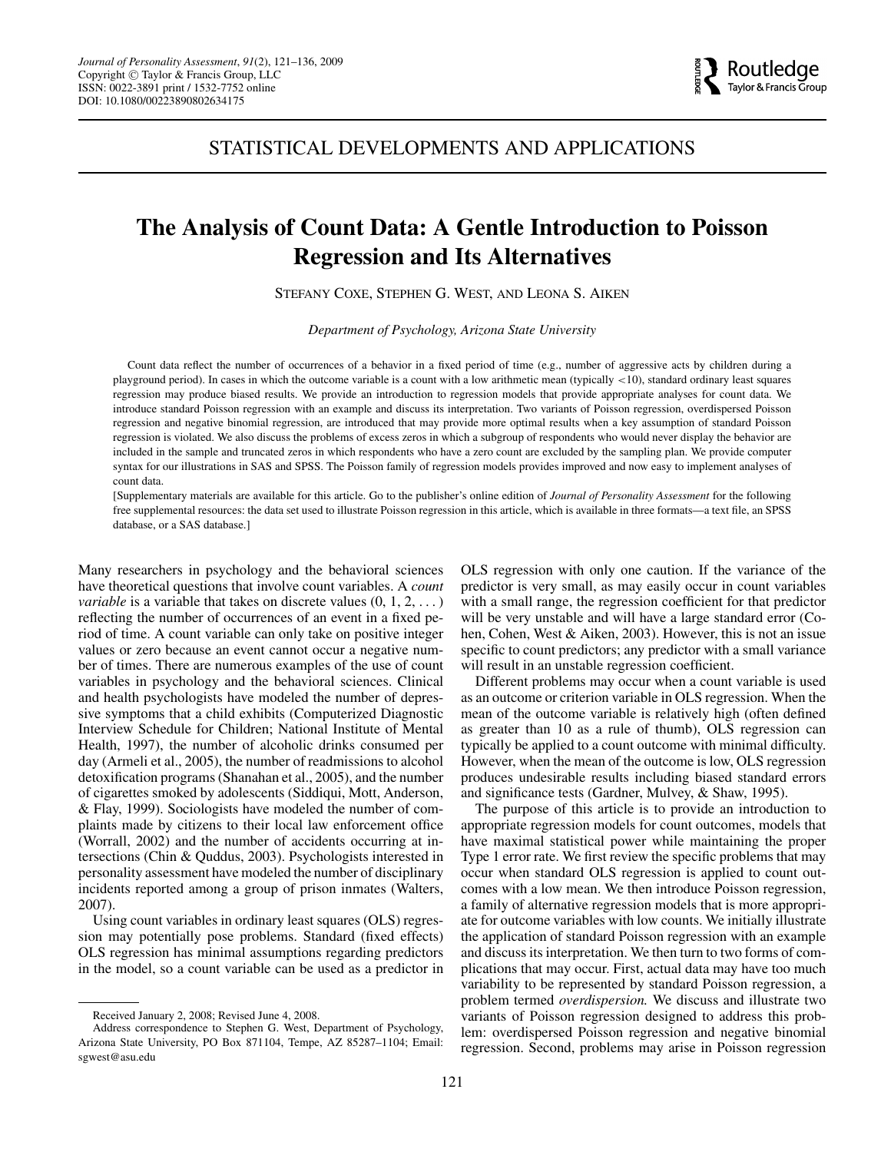

# STATISTICAL DEVELOPMENTS AND APPLICATIONS

# **The Analysis of Count Data: A Gentle Introduction to Poisson Regression and Its Alternatives**

STEFANY COXE, STEPHEN G. WEST, AND LEONA S. AIKEN

*Department of Psychology, Arizona State University*

Count data reflect the number of occurrences of a behavior in a fixed period of time (e.g., number of aggressive acts by children during a playground period). In cases in which the outcome variable is a count with a low arithmetic mean (typically *<*10), standard ordinary least squares regression may produce biased results. We provide an introduction to regression models that provide appropriate analyses for count data. We introduce standard Poisson regression with an example and discuss its interpretation. Two variants of Poisson regression, overdispersed Poisson regression and negative binomial regression, are introduced that may provide more optimal results when a key assumption of standard Poisson regression is violated. We also discuss the problems of excess zeros in which a subgroup of respondents who would never display the behavior are included in the sample and truncated zeros in which respondents who have a zero count are excluded by the sampling plan. We provide computer syntax for our illustrations in SAS and SPSS. The Poisson family of regression models provides improved and now easy to implement analyses of count data.

[Supplementary materials are available for this article. Go to the publisher's online edition of *Journal of Personality Assessment* for the following free supplemental resources: the data set used to illustrate Poisson regression in this article, which is available in three formats—a text file, an SPSS database, or a SAS database.]

Many researchers in psychology and the behavioral sciences have theoretical questions that involve count variables. A *count variable* is a variable that takes on discrete values  $(0, 1, 2, ...)$ reflecting the number of occurrences of an event in a fixed period of time. A count variable can only take on positive integer values or zero because an event cannot occur a negative number of times. There are numerous examples of the use of count variables in psychology and the behavioral sciences. Clinical and health psychologists have modeled the number of depressive symptoms that a child exhibits (Computerized Diagnostic Interview Schedule for Children; National Institute of Mental Health, 1997), the number of alcoholic drinks consumed per day (Armeli et al., 2005), the number of readmissions to alcohol detoxification programs (Shanahan et al., 2005), and the number of cigarettes smoked by adolescents (Siddiqui, Mott, Anderson, & Flay, 1999). Sociologists have modeled the number of complaints made by citizens to their local law enforcement office (Worrall, 2002) and the number of accidents occurring at intersections (Chin & Quddus, 2003). Psychologists interested in personality assessment have modeled the number of disciplinary incidents reported among a group of prison inmates (Walters, 2007).

Using count variables in ordinary least squares (OLS) regression may potentially pose problems. Standard (fixed effects) OLS regression has minimal assumptions regarding predictors in the model, so a count variable can be used as a predictor in OLS regression with only one caution. If the variance of the predictor is very small, as may easily occur in count variables with a small range, the regression coefficient for that predictor will be very unstable and will have a large standard error (Cohen, Cohen, West & Aiken, 2003). However, this is not an issue specific to count predictors; any predictor with a small variance will result in an unstable regression coefficient.

Different problems may occur when a count variable is used as an outcome or criterion variable in OLS regression. When the mean of the outcome variable is relatively high (often defined as greater than 10 as a rule of thumb), OLS regression can typically be applied to a count outcome with minimal difficulty. However, when the mean of the outcome is low, OLS regression produces undesirable results including biased standard errors and significance tests (Gardner, Mulvey, & Shaw, 1995).

The purpose of this article is to provide an introduction to appropriate regression models for count outcomes, models that have maximal statistical power while maintaining the proper Type 1 error rate. We first review the specific problems that may occur when standard OLS regression is applied to count outcomes with a low mean. We then introduce Poisson regression, a family of alternative regression models that is more appropriate for outcome variables with low counts. We initially illustrate the application of standard Poisson regression with an example and discuss its interpretation. We then turn to two forms of complications that may occur. First, actual data may have too much variability to be represented by standard Poisson regression, a problem termed *overdispersion.* We discuss and illustrate two variants of Poisson regression designed to address this problem: overdispersed Poisson regression and negative binomial regression. Second, problems may arise in Poisson regression

Received January 2, 2008; Revised June 4, 2008.

Address correspondence to Stephen G. West, Department of Psychology, Arizona State University, PO Box 871104, Tempe, AZ 85287–1104; Email: sgwest@asu.edu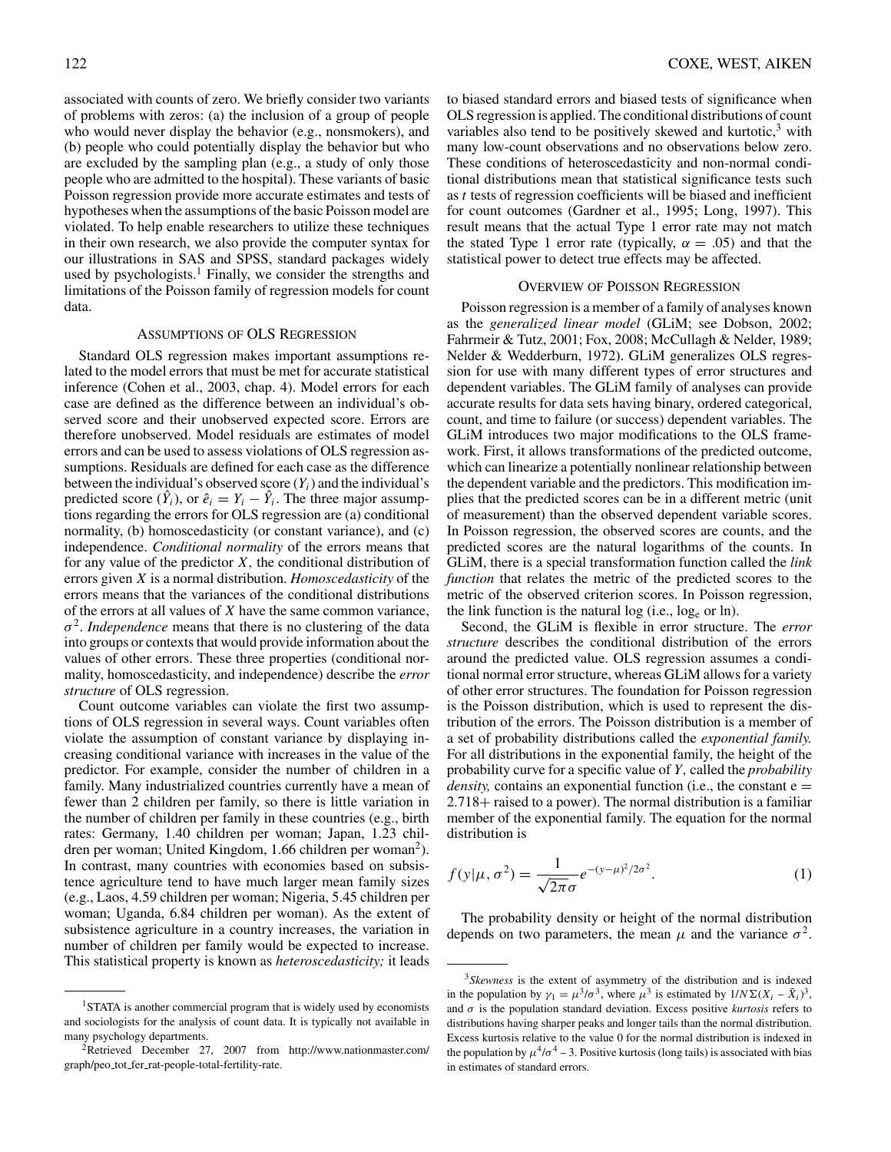associated with counts of zero. We briefly consider two variants of problems with zeros: (a) the inclusion of a group of people who would never display the behavior (e.g., nonsmokers), and (b) people who could potentially display the behavior but who are excluded by the sampling plan (e.g., a study of only those people who are admitted to the hospital). These variants of basic Poisson regression provide more accurate estimates and tests of hypotheses when the assumptions of the basic Poisson model are violated. To help enable researchers to utilize these techniques in their own research, we also provide the computer syntax for our illustrations in SAS and SPSS, standard packages widely used by psychologists.<sup>1</sup> Finally, we consider the strengths and limitations of the Poisson family of regression models for count data.

# ASSUMPTIONS OF OLS REGRESSION

Standard OLS regression makes important assumptions related to the model errors that must be met for accurate statistical inference (Cohen et al., 2003, chap. 4). Model errors for each case are defined as the difference between an individual's observed score and their unobserved expected score. Errors are therefore unobserved. Model residuals are estimates of model errors and can be used to assess violations of OLS regression assumptions. Residuals are defined for each case as the difference between the individual's observed score  $(Y_i)$  and the individual's predicted score  $(\hat{Y}_i)$ , or  $\hat{e}_i = Y_i - \hat{Y}_i$ . The three major assumptions regarding the errors for OLS regression are (a) conditional normality, (b) homoscedasticity (or constant variance), and (c) independence. *Conditional normality* of the errors means that for any value of the predictor *X,* the conditional distribution of errors given *X* is a normal distribution. *Homoscedasticity* of the errors means that the variances of the conditional distributions of the errors at all values of *X* have the same common variance, *σ*2. *Independence* means that there is no clustering of the data into groups or contexts that would provide information about the values of other errors. These three properties (conditional normality, homoscedasticity, and independence) describe the *error structure* of OLS regression.

Count outcome variables can violate the first two assumptions of OLS regression in several ways. Count variables often violate the assumption of constant variance by displaying increasing conditional variance with increases in the value of the predictor. For example, consider the number of children in a family. Many industrialized countries currently have a mean of fewer than 2 children per family, so there is little variation in the number of children per family in these countries (e.g., birth rates: Germany, 1.40 children per woman; Japan, 1.23 children per woman; United Kingdom, 1.66 children per woman<sup>2</sup>). In contrast, many countries with economies based on subsistence agriculture tend to have much larger mean family sizes (e.g., Laos, 4.59 children per woman; Nigeria, 5.45 children per woman; Uganda, 6.84 children per woman). As the extent of subsistence agriculture in a country increases, the variation in number of children per family would be expected to increase. This statistical property is known as *heteroscedasticity;* it leads to biased standard errors and biased tests of significance when OLS regression is applied. The conditional distributions of count variables also tend to be positively skewed and kurtotic, $3$  with many low-count observations and no observations below zero. These conditions of heteroscedasticity and non-normal conditional distributions mean that statistical significance tests such as *t* tests of regression coefficients will be biased and inefficient for count outcomes (Gardner et al., 1995; Long, 1997). This result means that the actual Type 1 error rate may not match the stated Type 1 error rate (typically,  $\alpha = .05$ ) and that the statistical power to detect true effects may be affected.

#### OVERVIEW OF POISSON REGRESSION

Poisson regression is a member of a family of analyses known as the *generalized linear model* (GLiM; see Dobson, 2002; Fahrmeir & Tutz, 2001; Fox, 2008; McCullagh & Nelder, 1989; Nelder & Wedderburn, 1972). GLiM generalizes OLS regression for use with many different types of error structures and dependent variables. The GLiM family of analyses can provide accurate results for data sets having binary, ordered categorical, count, and time to failure (or success) dependent variables. The GLiM introduces two major modifications to the OLS framework. First, it allows transformations of the predicted outcome, which can linearize a potentially nonlinear relationship between the dependent variable and the predictors. This modification implies that the predicted scores can be in a different metric (unit of measurement) than the observed dependent variable scores. In Poisson regression, the observed scores are counts, and the predicted scores are the natural logarithms of the counts. In GLiM, there is a special transformation function called the *link function* that relates the metric of the predicted scores to the metric of the observed criterion scores. In Poisson regression, the link function is the natural  $log(i.e., log<sub>e</sub> or ln)$ .

Second, the GLiM is flexible in error structure. The *error structure* describes the conditional distribution of the errors around the predicted value. OLS regression assumes a conditional normal error structure, whereas GLiM allows for a variety of other error structures. The foundation for Poisson regression is the Poisson distribution, which is used to represent the distribution of the errors. The Poisson distribution is a member of a set of probability distributions called the *exponential family.* For all distributions in the exponential family, the height of the probability curve for a specific value of *Y,* called the *probability density,* contains an exponential function (i.e., the constant  $e =$ 2.718+ raised to a power). The normal distribution is a familiar member of the exponential family. The equation for the normal distribution is

$$
f(y|\mu, \sigma^2) = \frac{1}{\sqrt{2\pi}\sigma} e^{-(y-\mu)^2/2\sigma^2}.
$$
 (1)

The probability density or height of the normal distribution depends on two parameters, the mean  $\mu$  and the variance  $\sigma^2$ .

<sup>&</sup>lt;sup>1</sup>STATA is another commercial program that is widely used by economists and sociologists for the analysis of count data. It is typically not available in many psychology departments.

<sup>2</sup>Retrieved December 27, 2007 from http://www.nationmaster.com/ graph/peo tot fer rat-people-total-fertility-rate.

<sup>3</sup>*Skewness* is the extent of asymmetry of the distribution and is indexed in the population by  $\gamma_1 = \mu^3/\sigma^3$ , where  $\mu^3$  is estimated by  $1/N \Sigma (X_i - \bar{X}_i)^3$ , and  $\sigma$  is the population standard deviation. Excess positive *kurtosis* refers to distributions having sharper peaks and longer tails than the normal distribution. Excess kurtosis relative to the value 0 for the normal distribution is indexed in the population by  $\mu^4/\sigma^4 - 3$ . Positive kurtosis (long tails) is associated with bias in estimates of standard errors.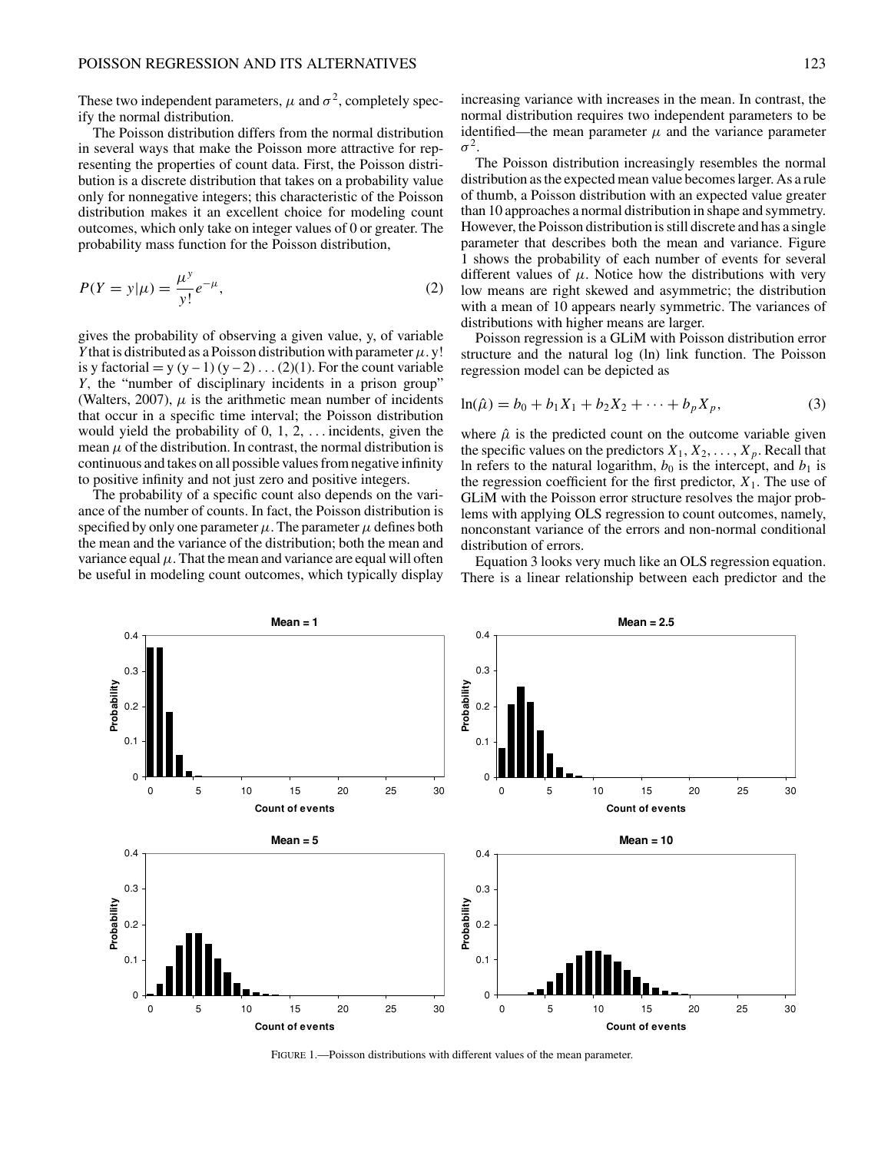These two independent parameters,  $\mu$  and  $\sigma^2$ , completely specify the normal distribution.

The Poisson distribution differs from the normal distribution in several ways that make the Poisson more attractive for representing the properties of count data. First, the Poisson distribution is a discrete distribution that takes on a probability value only for nonnegative integers; this characteristic of the Poisson distribution makes it an excellent choice for modeling count outcomes, which only take on integer values of 0 or greater. The probability mass function for the Poisson distribution,

$$
P(Y = y | \mu) = \frac{\mu^{y}}{y!} e^{-\mu},
$$
\n(2)

gives the probability of observing a given value, y, of variable *Y* that is distributed as a Poisson distribution with parameter  $\mu$ . y! is y factorial  $= y (y-1) (y-2) \dots (2)(1)$ . For the count variable *Y*, the "number of disciplinary incidents in a prison group" (Walters, 2007),  $\mu$  is the arithmetic mean number of incidents that occur in a specific time interval; the Poisson distribution would yield the probability of  $0, 1, 2, \ldots$  incidents, given the mean  $\mu$  of the distribution. In contrast, the normal distribution is continuous and takes on all possible values from negative infinity to positive infinity and not just zero and positive integers.

The probability of a specific count also depends on the variance of the number of counts. In fact, the Poisson distribution is specified by only one parameter  $\mu$ . The parameter  $\mu$  defines both the mean and the variance of the distribution; both the mean and variance equal  $\mu$ . That the mean and variance are equal will often be useful in modeling count outcomes, which typically display increasing variance with increases in the mean. In contrast, the normal distribution requires two independent parameters to be identified—the mean parameter  $\mu$  and the variance parameter *σ*2.

The Poisson distribution increasingly resembles the normal distribution as the expected mean value becomes larger. As a rule of thumb, a Poisson distribution with an expected value greater than 10 approaches a normal distribution in shape and symmetry. However, the Poisson distribution is still discrete and has a single parameter that describes both the mean and variance. Figure 1 shows the probability of each number of events for several different values of  $\mu$ . Notice how the distributions with very low means are right skewed and asymmetric; the distribution with a mean of 10 appears nearly symmetric. The variances of distributions with higher means are larger.

Poisson regression is a GLiM with Poisson distribution error structure and the natural log (ln) link function. The Poisson regression model can be depicted as

$$
\ln(\hat{\mu}) = b_0 + b_1 X_1 + b_2 X_2 + \dots + b_p X_p,\tag{3}
$$

where  $\hat{\mu}$  is the predicted count on the outcome variable given the specific values on the predictors  $X_1, X_2, \ldots, X_p$ . Recall that In refers to the natural logarithm,  $b_0$  is the intercept, and  $b_1$  is the regression coefficient for the first predictor,  $X_1$ . The use of GLiM with the Poisson error structure resolves the major problems with applying OLS regression to count outcomes, namely, nonconstant variance of the errors and non-normal conditional distribution of errors.

Equation 3 looks very much like an OLS regression equation. There is a linear relationship between each predictor and the



FIGURE 1.—Poisson distributions with different values of the mean parameter.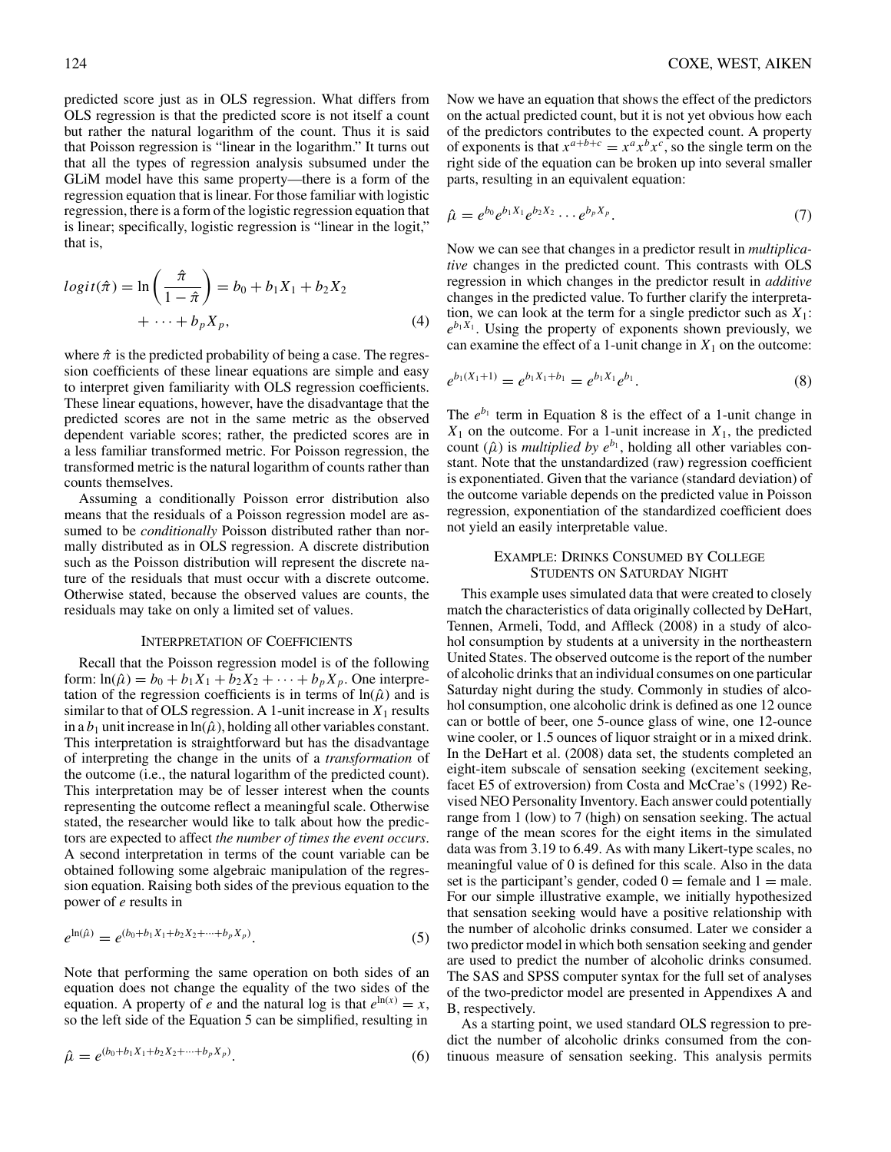predicted score just as in OLS regression. What differs from OLS regression is that the predicted score is not itself a count but rather the natural logarithm of the count. Thus it is said that Poisson regression is "linear in the logarithm." It turns out that all the types of regression analysis subsumed under the GLiM model have this same property—there is a form of the regression equation that is linear. For those familiar with logistic regression, there is a form of the logistic regression equation that is linear; specifically, logistic regression is "linear in the logit," that is,

$$
logit(\hat{\pi}) = \ln\left(\frac{\hat{\pi}}{1-\hat{\pi}}\right) = b_0 + b_1X_1 + b_2X_2
$$
  
 
$$
+ \cdots + b_pX_p,
$$
 (4)

where  $\hat{\pi}$  is the predicted probability of being a case. The regression coefficients of these linear equations are simple and easy to interpret given familiarity with OLS regression coefficients. These linear equations, however, have the disadvantage that the predicted scores are not in the same metric as the observed dependent variable scores; rather, the predicted scores are in a less familiar transformed metric. For Poisson regression, the transformed metric is the natural logarithm of counts rather than counts themselves.

Assuming a conditionally Poisson error distribution also means that the residuals of a Poisson regression model are assumed to be *conditionally* Poisson distributed rather than normally distributed as in OLS regression. A discrete distribution such as the Poisson distribution will represent the discrete nature of the residuals that must occur with a discrete outcome. Otherwise stated, because the observed values are counts, the residuals may take on only a limited set of values.

#### INTERPRETATION OF COEFFICIENTS

Recall that the Poisson regression model is of the following form:  $ln(\hat{\mu}) = b_0 + b_1 X_1 + b_2 X_2 + \cdots + b_p X_p$ . One interpretation of the regression coefficients is in terms of  $ln(\hat{\mu})$  and is similar to that of OLS regression. A 1-unit increase in  $X_1$  results in a  $b_1$  unit increase in  $\ln(\hat{\mu})$ , holding all other variables constant. This interpretation is straightforward but has the disadvantage of interpreting the change in the units of a *transformation* of the outcome (i.e., the natural logarithm of the predicted count). This interpretation may be of lesser interest when the counts representing the outcome reflect a meaningful scale. Otherwise stated, the researcher would like to talk about how the predictors are expected to affect *the number of times the event occurs*. A second interpretation in terms of the count variable can be obtained following some algebraic manipulation of the regression equation. Raising both sides of the previous equation to the power of *e* results in

$$
e^{\ln(\hat{\mu})} = e^{(b_0 + b_1 X_1 + b_2 X_2 + \dots + b_p X_p)}.
$$
\n(5)

Note that performing the same operation on both sides of an equation does not change the equality of the two sides of the equation. A property of *e* and the natural log is that  $e^{\ln(x)} = x$ , so the left side of the Equation 5 can be simplified, resulting in

$$
\hat{\mu} = e^{(b_0 + b_1 X_1 + b_2 X_2 + \dots + b_p X_p)}.
$$
\n(6)

Now we have an equation that shows the effect of the predictors on the actual predicted count, but it is not yet obvious how each of the predictors contributes to the expected count. A property of exponents is that  $x^{a+b+c} = x^a x^b x^c$ , so the single term on the right side of the equation can be broken up into several smaller parts, resulting in an equivalent equation:

$$
\hat{\mu} = e^{b_0} e^{b_1 X_1} e^{b_2 X_2} \cdots e^{b_p X_p}.
$$
\n(7)

Now we can see that changes in a predictor result in *multiplicative* changes in the predicted count. This contrasts with OLS regression in which changes in the predictor result in *additive* changes in the predicted value. To further clarify the interpretation, we can look at the term for a single predictor such as  $X_1$ :  $e^{b_1 X_1}$ . Using the property of exponents shown previously, we can examine the effect of a 1-unit change in  $X_1$  on the outcome:

$$
e^{b_1(X_1+1)} = e^{b_1X_1+b_1} = e^{b_1X_1}e^{b_1}.
$$
\n(8)

The  $e^{b_1}$  term in Equation 8 is the effect of a 1-unit change in  $X_1$  on the outcome. For a 1-unit increase in  $X_1$ , the predicted count  $(\hat{\mu})$  is *multiplied by*  $e^{b_1}$ , holding all other variables constant. Note that the unstandardized (raw) regression coefficient is exponentiated. Given that the variance (standard deviation) of the outcome variable depends on the predicted value in Poisson regression, exponentiation of the standardized coefficient does not yield an easily interpretable value.

# EXAMPLE: DRINKS CONSUMED BY COLLEGE STUDENTS ON SATURDAY NIGHT

This example uses simulated data that were created to closely match the characteristics of data originally collected by DeHart, Tennen, Armeli, Todd, and Affleck (2008) in a study of alcohol consumption by students at a university in the northeastern United States. The observed outcome is the report of the number of alcoholic drinks that an individual consumes on one particular Saturday night during the study. Commonly in studies of alcohol consumption, one alcoholic drink is defined as one 12 ounce can or bottle of beer, one 5-ounce glass of wine, one 12-ounce wine cooler, or 1.5 ounces of liquor straight or in a mixed drink. In the DeHart et al. (2008) data set, the students completed an eight-item subscale of sensation seeking (excitement seeking, facet E5 of extroversion) from Costa and McCrae's (1992) Revised NEO Personality Inventory. Each answer could potentially range from 1 (low) to 7 (high) on sensation seeking. The actual range of the mean scores for the eight items in the simulated data was from 3.19 to 6.49. As with many Likert-type scales, no meaningful value of 0 is defined for this scale. Also in the data set is the participant's gender, coded  $0 =$  female and  $1 =$  male. For our simple illustrative example, we initially hypothesized that sensation seeking would have a positive relationship with the number of alcoholic drinks consumed. Later we consider a two predictor model in which both sensation seeking and gender are used to predict the number of alcoholic drinks consumed. The SAS and SPSS computer syntax for the full set of analyses of the two-predictor model are presented in Appendixes A and B, respectively.

As a starting point, we used standard OLS regression to predict the number of alcoholic drinks consumed from the continuous measure of sensation seeking. This analysis permits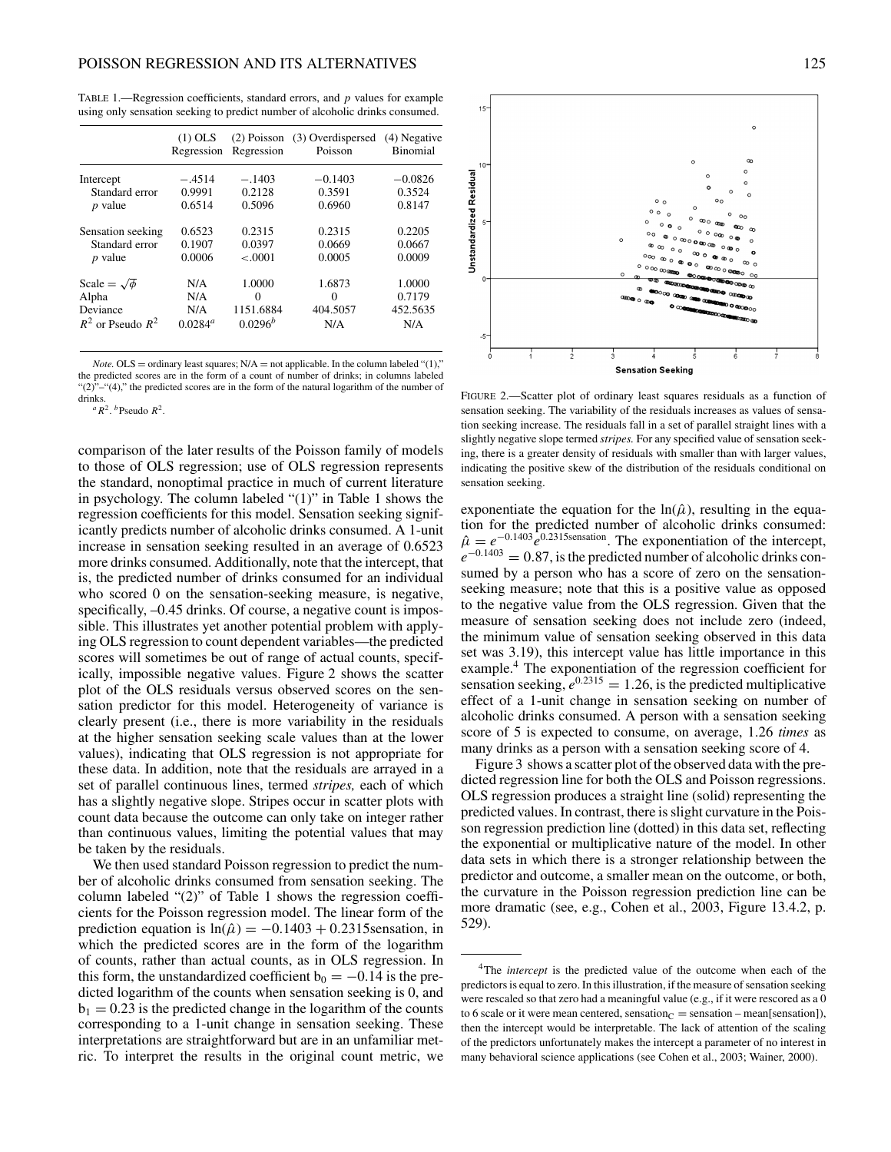| TABLE 1.—Regression coefficients, standard errors, and $p$ values for example |  |  |  |
|-------------------------------------------------------------------------------|--|--|--|
| using only sensation seeking to predict number of alcoholic drinks consumed.  |  |  |  |

|                       | $(1)$ OLS<br>Regression | Regression | (2) Poisson (3) Overdispersed<br>Poisson | (4) Negative<br><b>Binomial</b> |
|-----------------------|-------------------------|------------|------------------------------------------|---------------------------------|
| Intercept             | $-.4514$                | $-.1403$   | $-0.1403$                                | $-0.0826$                       |
| Standard error        | 0.9991                  | 0.2128     | 0.3591                                   | 0.3524                          |
| $p$ value             | 0.6514                  | 0.5096     | 0.6960                                   | 0.8147                          |
| Sensation seeking     | 0.6523                  | 0.2315     | 0.2315                                   | 0.2205                          |
| Standard error        | 0.1907                  | 0.0397     | 0.0669                                   | 0.0667                          |
| $p$ value             | 0.0006                  | < 0.001    | 0.0005                                   | 0.0009                          |
| Scale = $\sqrt{\phi}$ | N/A                     | 1.0000     | 1.6873                                   | 1.0000                          |
| Alpha                 | N/A                     | $\Omega$   | $\Omega$                                 | 0.7179                          |
| Deviance              | N/A                     | 1151.6884  | 404.5057                                 | 452.5635                        |
| $R^2$ or Pseudo $R^2$ | $0.0284^{a}$            | $0.0296^b$ | N/A                                      | N/A                             |

*Note.* OLS = ordinary least squares;  $N/A$  = not applicable. In the column labeled "(1)," the predicted scores are in the form of a count of number of drinks; in columns labeled "(2)"-"(4)," the predicted scores are in the form of the natural logarithm of the number of drinks.

 $a \cdot R^2$ . *b*Pseudo  $R^2$ .

comparison of the later results of the Poisson family of models to those of OLS regression; use of OLS regression represents the standard, nonoptimal practice in much of current literature in psychology. The column labeled "(1)" in Table 1 shows the regression coefficients for this model. Sensation seeking significantly predicts number of alcoholic drinks consumed. A 1-unit increase in sensation seeking resulted in an average of 0.6523 more drinks consumed. Additionally, note that the intercept, that is, the predicted number of drinks consumed for an individual who scored 0 on the sensation-seeking measure, is negative, specifically,  $-0.45$  drinks. Of course, a negative count is impossible. This illustrates yet another potential problem with applying OLS regression to count dependent variables—the predicted scores will sometimes be out of range of actual counts, specifically, impossible negative values. Figure 2 shows the scatter plot of the OLS residuals versus observed scores on the sensation predictor for this model. Heterogeneity of variance is clearly present (i.e., there is more variability in the residuals at the higher sensation seeking scale values than at the lower values), indicating that OLS regression is not appropriate for these data. In addition, note that the residuals are arrayed in a set of parallel continuous lines, termed *stripes,* each of which has a slightly negative slope. Stripes occur in scatter plots with count data because the outcome can only take on integer rather than continuous values, limiting the potential values that may be taken by the residuals.

We then used standard Poisson regression to predict the number of alcoholic drinks consumed from sensation seeking. The column labeled "(2)" of Table 1 shows the regression coefficients for the Poisson regression model. The linear form of the prediction equation is  $ln(\hat{\mu}) = -0.1403 + 0.2315$ sensation, in which the predicted scores are in the form of the logarithm of counts, rather than actual counts, as in OLS regression. In this form, the unstandardized coefficient  $b_0 = -0.14$  is the predicted logarithm of the counts when sensation seeking is 0, and  $b_1 = 0.23$  is the predicted change in the logarithm of the counts corresponding to a 1-unit change in sensation seeking. These interpretations are straightforward but are in an unfamiliar metric. To interpret the results in the original count metric, we



FIGURE 2.—Scatter plot of ordinary least squares residuals as a function of sensation seeking. The variability of the residuals increases as values of sensation seeking increase. The residuals fall in a set of parallel straight lines with a slightly negative slope termed *stripes.* For any specified value of sensation seeking, there is a greater density of residuals with smaller than with larger values, indicating the positive skew of the distribution of the residuals conditional on sensation seeking.

exponentiate the equation for the  $ln(\hat{\mu})$ , resulting in the equation for the predicted number of alcoholic drinks consumed:  $\hat{\mu} = e^{-0.1403} e^{0.2315$ sensation. The exponentiation of the intercept,  $e^{-0.1403} = 0.87$ , is the predicted number of alcoholic drinks consumed by a person who has a score of zero on the sensationseeking measure; note that this is a positive value as opposed to the negative value from the OLS regression. Given that the measure of sensation seeking does not include zero (indeed, the minimum value of sensation seeking observed in this data set was 3.19), this intercept value has little importance in this example.<sup>4</sup> The exponentiation of the regression coefficient for sensation seeking,  $e^{0.2315} = 1.26$ , is the predicted multiplicative effect of a 1-unit change in sensation seeking on number of alcoholic drinks consumed. A person with a sensation seeking score of 5 is expected to consume, on average, 1.26 *times* as many drinks as a person with a sensation seeking score of 4.

Figure 3 shows a scatter plot of the observed data with the predicted regression line for both the OLS and Poisson regressions. OLS regression produces a straight line (solid) representing the predicted values. In contrast, there is slight curvature in the Poisson regression prediction line (dotted) in this data set, reflecting the exponential or multiplicative nature of the model. In other data sets in which there is a stronger relationship between the predictor and outcome, a smaller mean on the outcome, or both, the curvature in the Poisson regression prediction line can be more dramatic (see, e.g., Cohen et al., 2003, Figure 13.4.2, p. 529).

<sup>4</sup>The *intercept* is the predicted value of the outcome when each of the predictors is equal to zero. In this illustration, if the measure of sensation seeking were rescaled so that zero had a meaningful value (e.g., if it were rescored as a 0 to 6 scale or it were mean centered, sensation $C =$  sensation – mean[sensation]), then the intercept would be interpretable. The lack of attention of the scaling of the predictors unfortunately makes the intercept a parameter of no interest in many behavioral science applications (see Cohen et al., 2003; Wainer, 2000).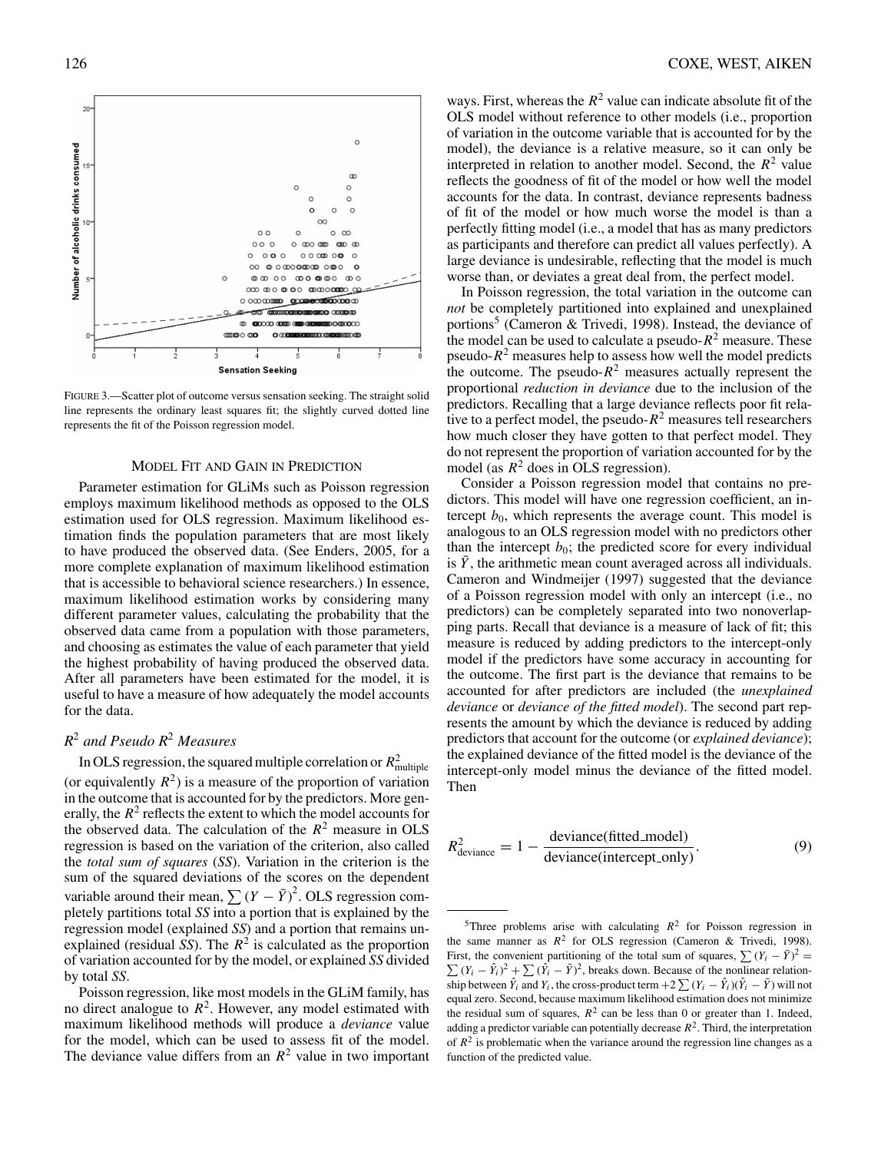

FIGURE 3.—Scatter plot of outcome versus sensation seeking. The straight solid line represents the ordinary least squares fit; the slightly curved dotted line represents the fit of the Poisson regression model.

## MODEL FIT AND GAIN IN PREDICTION

Parameter estimation for GLiMs such as Poisson regression employs maximum likelihood methods as opposed to the OLS estimation used for OLS regression. Maximum likelihood estimation finds the population parameters that are most likely to have produced the observed data. (See Enders, 2005, for a more complete explanation of maximum likelihood estimation that is accessible to behavioral science researchers.) In essence, maximum likelihood estimation works by considering many different parameter values, calculating the probability that the observed data came from a population with those parameters, and choosing as estimates the value of each parameter that yield the highest probability of having produced the observed data. After all parameters have been estimated for the model, it is useful to have a measure of how adequately the model accounts for the data.

# *R*<sup>2</sup> *and Pseudo R*<sup>2</sup> *Measures*

In OLS regression, the squared multiple correlation or  $R_{\text{multiple}}^2$ (or equivalently  $R^2$ ) is a measure of the proportion of variation in the outcome that is accounted for by the predictors. More generally, the  $R^2$  reflects the extent to which the model accounts for the observed data. The calculation of the  $R^2$  measure in OLS regression is based on the variation of the criterion, also called the *total sum of squares* (*SS*). Variation in the criterion is the sum of the squared deviations of the scores on the dependent variable around their mean,  $\sum (Y - \bar{Y})^2$ . OLS regression completely partitions total *SS* into a portion that is explained by the regression model (explained *SS*) and a portion that remains unexplained (residual *SS*). The  $R^2$  is calculated as the proportion of variation accounted for by the model, or explained *SS* divided by total *SS*.

Poisson regression, like most models in the GLiM family, has no direct analogue to  $R^2$ . However, any model estimated with maximum likelihood methods will produce a *deviance* value for the model, which can be used to assess fit of the model. The deviance value differs from an  $R^2$  value in two important ways. First, whereas the  $R^2$  value can indicate absolute fit of the OLS model without reference to other models (i.e., proportion of variation in the outcome variable that is accounted for by the model), the deviance is a relative measure, so it can only be interpreted in relation to another model. Second, the  $R^2$  value reflects the goodness of fit of the model or how well the model accounts for the data. In contrast, deviance represents badness of fit of the model or how much worse the model is than a perfectly fitting model (i.e., a model that has as many predictors as participants and therefore can predict all values perfectly). A large deviance is undesirable, reflecting that the model is much worse than, or deviates a great deal from, the perfect model.

In Poisson regression, the total variation in the outcome can *not* be completely partitioned into explained and unexplained portions<sup>5</sup> (Cameron & Trivedi, 1998). Instead, the deviance of the model can be used to calculate a pseudo- $R^2$  measure. These pseudo- $R^2$  measures help to assess how well the model predicts the outcome. The pseudo- $R^2$  measures actually represent the proportional *reduction in deviance* due to the inclusion of the predictors. Recalling that a large deviance reflects poor fit relative to a perfect model, the pseudo-*R*<sup>2</sup> measures tell researchers how much closer they have gotten to that perfect model. They do not represent the proportion of variation accounted for by the model (as  $R^2$  does in OLS regression).

Consider a Poisson regression model that contains no predictors. This model will have one regression coefficient, an intercept  $b_0$ , which represents the average count. This model is analogous to an OLS regression model with no predictors other than the intercept  $b_0$ ; the predicted score for every individual is  $Y$ , the arithmetic mean count averaged across all individuals. Cameron and Windmeijer (1997) suggested that the deviance of a Poisson regression model with only an intercept (i.e., no predictors) can be completely separated into two nonoverlapping parts. Recall that deviance is a measure of lack of fit; this measure is reduced by adding predictors to the intercept-only model if the predictors have some accuracy in accounting for the outcome. The first part is the deviance that remains to be accounted for after predictors are included (the *unexplained deviance* or *deviance of the fitted model*). The second part represents the amount by which the deviance is reduced by adding predictors that account for the outcome (or *explained deviance*); the explained deviance of the fitted model is the deviance of the intercept-only model minus the deviance of the fitted model. Then

$$
R_{\text{deviance}}^2 = 1 - \frac{\text{deviance}(\text{fitted-model})}{\text{deviance}(\text{intercept-only})}.
$$
 (9)

<sup>&</sup>lt;sup>5</sup>Three problems arise with calculating  $R^2$  for Poisson regression in the same manner as  $R^2$  for OLS regression (Cameron & Trivedi, 1998). First, the convenient partitioning of the total sum of squares,  $\sum (Y_i - \bar{Y})^2 = \sum (Y_i - \bar{Y}_i)^2 + \sum (\bar{Y}_i - \bar{Y})^2$ , breaks down. Because of the nonlinear relation- $(Y_i - \hat{Y}_i)^2 + \sum (\hat{Y}_i - \bar{Y})^2$ , breaks down. Because of the nonlinear relation- $\sinh p$  between  $\hat{Y}_i$  and  $Y_i$ , the cross-product term  $+2\sum (Y_i - \hat{Y}_i)(\hat{Y}_i - \bar{Y})$  will not equal zero. Second, because maximum likelihood estimation does not minimize the residual sum of squares,  $R^2$  can be less than 0 or greater than 1. Indeed, adding a predictor variable can potentially decrease  $R^2$ . Third, the interpretation of  $R^2$  is problematic when the variance around the regression line changes as a function of the predicted value.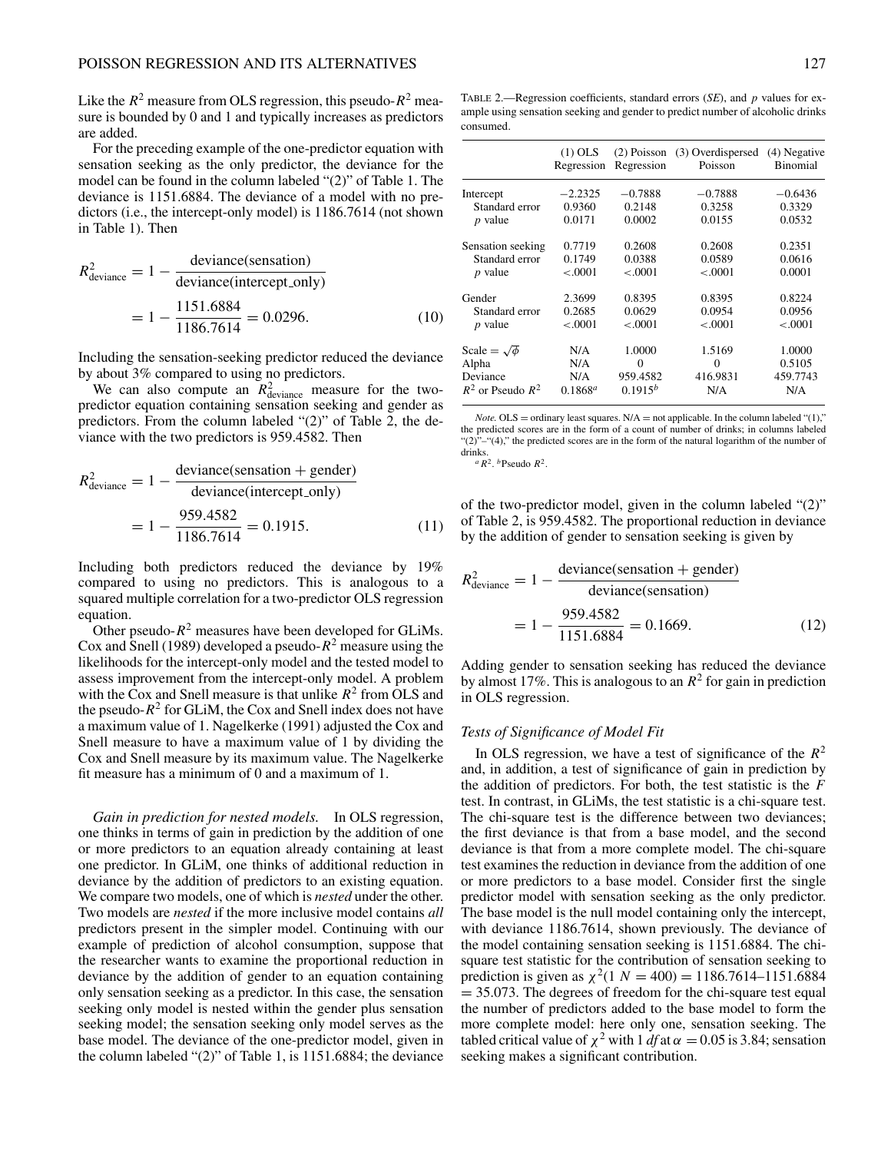Like the  $R^2$  measure from OLS regression, this pseudo- $R^2$  measure is bounded by 0 and 1 and typically increases as predictors are added.

For the preceding example of the one-predictor equation with sensation seeking as the only predictor, the deviance for the model can be found in the column labeled "(2)" of Table 1. The deviance is 1151.6884. The deviance of a model with no predictors (i.e., the intercept-only model) is 1186.7614 (not shown in Table 1). Then

$$
R_{\text{deviance}}^2 = 1 - \frac{\text{deviance}(\text{sensor})}{\text{deviance}(\text{intercept\_only})}
$$

$$
= 1 - \frac{1151.6884}{1186.7614} = 0.0296.
$$
(10)

Including the sensation-seeking predictor reduced the deviance by about 3% compared to using no predictors.

We can also compute an  $R_{\text{deviance}}^2$  measure for the twopredictor equation containing sensation seeking and gender as predictors. From the column labeled "(2)" of Table 2, the deviance with the two predictors is 959.4582. Then

$$
R_{\text{deviance}}^2 = 1 - \frac{\text{deviance}(\text{sensor} + \text{gender})}{\text{deviance}(\text{intercept} - \text{only})}
$$

$$
= 1 - \frac{959.4582}{1186.7614} = 0.1915. \tag{11}
$$

Including both predictors reduced the deviance by 19% compared to using no predictors. This is analogous to a squared multiple correlation for a two-predictor OLS regression equation.

Other pseudo- $R^2$  measures have been developed for GLiMs. Cox and Snell (1989) developed a pseudo- $R^2$  measure using the likelihoods for the intercept-only model and the tested model to assess improvement from the intercept-only model. A problem with the Cox and Snell measure is that unlike  $R^2$  from OLS and the pseudo- $R^2$  for GLiM, the Cox and Snell index does not have a maximum value of 1. Nagelkerke (1991) adjusted the Cox and Snell measure to have a maximum value of 1 by dividing the Cox and Snell measure by its maximum value. The Nagelkerke fit measure has a minimum of 0 and a maximum of 1.

*Gain in prediction for nested models.* In OLS regression, one thinks in terms of gain in prediction by the addition of one or more predictors to an equation already containing at least one predictor. In GLiM, one thinks of additional reduction in deviance by the addition of predictors to an existing equation. We compare two models, one of which is *nested* under the other. Two models are *nested* if the more inclusive model contains *all* predictors present in the simpler model. Continuing with our example of prediction of alcohol consumption, suppose that the researcher wants to examine the proportional reduction in deviance by the addition of gender to an equation containing only sensation seeking as a predictor. In this case, the sensation seeking only model is nested within the gender plus sensation seeking model; the sensation seeking only model serves as the base model. The deviance of the one-predictor model, given in the column labeled "(2)" of Table 1, is 1151.6884; the deviance

TABLE 2.—Regression coefficients, standard errors (*SE*), and *p* values for example using sensation seeking and gender to predict number of alcoholic drinks consumed.

|                       | $(1)$ OLS<br>Regression | $(2)$ Poisson<br>Regression | (3) Overdispersed<br>Poisson | (4) Negative<br><b>Binomial</b> |
|-----------------------|-------------------------|-----------------------------|------------------------------|---------------------------------|
| Intercept             | $-2.2325$               | $-0.7888$                   | $-0.7888$                    | $-0.6436$                       |
| Standard error        | 0.9360                  | 0.2148                      | 0.3258                       | 0.3329                          |
| <i>p</i> value        | 0.0171                  | 0.0002                      | 0.0155                       | 0.0532                          |
| Sensation seeking     | 0.7719                  | 0.2608                      | 0.2608                       | 0.2351                          |
| Standard error        | 0.1749                  | 0.0388                      | 0.0589                       | 0.0616                          |
| $p$ value             | $-.0001$                | $-.0001$                    | $-.0001$                     | 0.0001                          |
| Gender                | 2.3699                  | 0.8395                      | 0.8395                       | 0.8224                          |
| Standard error        | 0.2685                  | 0.0629                      | 0.0954                       | 0.0956                          |
| $p$ value             | $-.0001$                | $-.0001$                    | $-.0001$                     | $-.0001$                        |
| Scale = $\sqrt{\phi}$ | N/A                     | 1.0000                      | 1.5169                       | 1.0000                          |
| Alpha                 | N/A                     | $\Omega$                    | $\Omega$                     | 0.5105                          |
| Deviance              | N/A                     | 959.4582                    | 416.9831                     | 459.7743                        |
| $R^2$ or Pseudo $R^2$ | $0.1868^a$              | $0.1915^{b}$                | N/A                          | N/A                             |

*Note.* OLS = ordinary least squares.  $N/A$  = not applicable. In the column labeled "(1)," the predicted scores are in the form of a count of number of drinks; in columns labeled "(2)"–"(4)," the predicted scores are in the form of the natural logarithm of the number of drinks.

drinks. *aR*2. *<sup>b</sup>*Pseudo *<sup>R</sup>*2.

of the two-predictor model, given in the column labeled "(2)" of Table 2, is 959.4582. The proportional reduction in deviance by the addition of gender to sensation seeking is given by

$$
R_{\text{deviance}}^2 = 1 - \frac{\text{deviance}(\text{sensation} + \text{gender})}{\text{deviance}(\text{sensation})}
$$

$$
= 1 - \frac{959.4582}{1151.6884} = 0.1669. \tag{12}
$$

Adding gender to sensation seeking has reduced the deviance by almost 17%. This is analogous to an  $R^2$  for gain in prediction in OLS regression.

#### *Tests of Significance of Model Fit*

In OLS regression, we have a test of significance of the  $R^2$ and, in addition, a test of significance of gain in prediction by the addition of predictors. For both, the test statistic is the *F* test. In contrast, in GLiMs, the test statistic is a chi-square test. The chi-square test is the difference between two deviances; the first deviance is that from a base model, and the second deviance is that from a more complete model. The chi-square test examines the reduction in deviance from the addition of one or more predictors to a base model. Consider first the single predictor model with sensation seeking as the only predictor. The base model is the null model containing only the intercept, with deviance 1186.7614, shown previously. The deviance of the model containing sensation seeking is 1151.6884. The chisquare test statistic for the contribution of sensation seeking to prediction is given as  $\chi^2(1 \text{ } N = 400) = 1186.7614 - 1151.6884$  $= 35.073$ . The degrees of freedom for the chi-square test equal the number of predictors added to the base model to form the more complete model: here only one, sensation seeking. The tabled critical value of  $\chi^2$  with 1 *df* at  $\alpha = 0.05$  is 3.84; sensation seeking makes a significant contribution.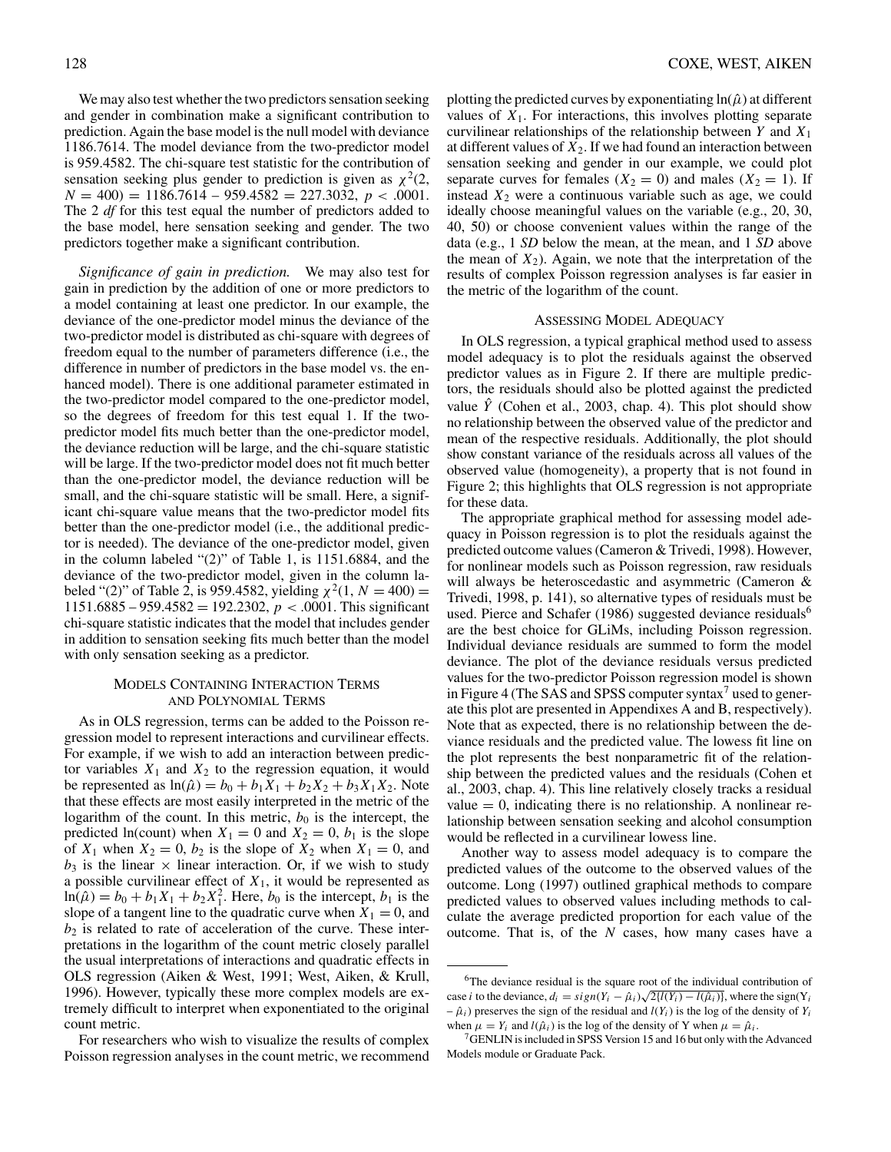We may also test whether the two predictors sensation seeking and gender in combination make a significant contribution to prediction. Again the base model is the null model with deviance 1186.7614. The model deviance from the two-predictor model is 959.4582. The chi-square test statistic for the contribution of sensation seeking plus gender to prediction is given as  $\chi^2(2, \mathbf{\hat{z}})$ *N* = 400) = 1186.7614 – 959.4582 = 227.3032, *p <* .0001. The 2 *df* for this test equal the number of predictors added to the base model, here sensation seeking and gender. The two predictors together make a significant contribution.

*Significance of gain in prediction.* We may also test for gain in prediction by the addition of one or more predictors to a model containing at least one predictor. In our example, the deviance of the one-predictor model minus the deviance of the two-predictor model is distributed as chi-square with degrees of freedom equal to the number of parameters difference (i.e., the difference in number of predictors in the base model vs. the enhanced model). There is one additional parameter estimated in the two-predictor model compared to the one-predictor model, so the degrees of freedom for this test equal 1. If the twopredictor model fits much better than the one-predictor model, the deviance reduction will be large, and the chi-square statistic will be large. If the two-predictor model does not fit much better than the one-predictor model, the deviance reduction will be small, and the chi-square statistic will be small. Here, a significant chi-square value means that the two-predictor model fits better than the one-predictor model (i.e., the additional predictor is needed). The deviance of the one-predictor model, given in the column labeled "(2)" of Table 1, is 1151.6884, and the deviance of the two-predictor model, given in the column labeled "(2)" of Table 2, is 959.4582, yielding  $\chi^2(1, N = 400)$  = 1151.6885 – 959.4582 = 192.2302, *p <* .0001. This significant chi-square statistic indicates that the model that includes gender in addition to sensation seeking fits much better than the model with only sensation seeking as a predictor.

#### MODELS CONTAINING INTERACTION TERMS AND POLYNOMIAL TERMS

As in OLS regression, terms can be added to the Poisson regression model to represent interactions and curvilinear effects. For example, if we wish to add an interaction between predictor variables  $X_1$  and  $X_2$  to the regression equation, it would be represented as  $ln(\hat{\mu}) = b_0 + b_1 X_1 + b_2 X_2 + b_3 X_1 X_2$ . Note that these effects are most easily interpreted in the metric of the logarithm of the count. In this metric,  $b<sub>0</sub>$  is the intercept, the predicted ln(count) when  $X_1 = 0$  and  $X_2 = 0$ ,  $b_1$  is the slope of  $X_1$  when  $X_2 = 0$ ,  $b_2$  is the slope of  $X_2$  when  $X_1 = 0$ , and  $b_3$  is the linear  $\times$  linear interaction. Or, if we wish to study a possible curvilinear effect of  $X_1$ , it would be represented as  $ln(\hat{\mu}) = b_0 + b_1 X_1 + b_2 X_1^2$ . Here,  $b_0$  is the intercept,  $b_1$  is the slope of a tangent line to the quadratic curve when  $X_1 = 0$ , and  $b_2$  is related to rate of acceleration of the curve. These interpretations in the logarithm of the count metric closely parallel the usual interpretations of interactions and quadratic effects in OLS regression (Aiken & West, 1991; West, Aiken, & Krull, 1996). However, typically these more complex models are extremely difficult to interpret when exponentiated to the original count metric.

For researchers who wish to visualize the results of complex Poisson regression analyses in the count metric, we recommend plotting the predicted curves by exponentiating  $ln(\hat{\mu})$  at different values of  $X_1$ . For interactions, this involves plotting separate curvilinear relationships of the relationship between *Y* and *X*<sup>1</sup> at different values of  $X_2$ . If we had found an interaction between sensation seeking and gender in our example, we could plot separate curves for females ( $X_2 = 0$ ) and males ( $X_2 = 1$ ). If instead  $X_2$  were a continuous variable such as age, we could ideally choose meaningful values on the variable (e.g., 20, 30, 40, 50) or choose convenient values within the range of the data (e.g., 1 *SD* below the mean, at the mean, and 1 *SD* above the mean of  $X_2$ ). Again, we note that the interpretation of the results of complex Poisson regression analyses is far easier in the metric of the logarithm of the count.

# ASSESSING MODEL ADEQUACY

In OLS regression, a typical graphical method used to assess model adequacy is to plot the residuals against the observed predictor values as in Figure 2. If there are multiple predictors, the residuals should also be plotted against the predicted value  $\hat{Y}$  (Cohen et al., 2003, chap. 4). This plot should show no relationship between the observed value of the predictor and mean of the respective residuals. Additionally, the plot should show constant variance of the residuals across all values of the observed value (homogeneity), a property that is not found in Figure 2; this highlights that OLS regression is not appropriate for these data.

The appropriate graphical method for assessing model adequacy in Poisson regression is to plot the residuals against the predicted outcome values (Cameron & Trivedi, 1998). However, for nonlinear models such as Poisson regression, raw residuals will always be heteroscedastic and asymmetric (Cameron & Trivedi, 1998, p. 141), so alternative types of residuals must be used. Pierce and Schafer (1986) suggested deviance residuals<sup>6</sup> are the best choice for GLiMs, including Poisson regression. Individual deviance residuals are summed to form the model deviance. The plot of the deviance residuals versus predicted values for the two-predictor Poisson regression model is shown in Figure 4 (The SAS and SPSS computer syntax<sup>7</sup> used to generate this plot are presented in Appendixes A and B, respectively). Note that as expected, there is no relationship between the deviance residuals and the predicted value. The lowess fit line on the plot represents the best nonparametric fit of the relationship between the predicted values and the residuals (Cohen et al., 2003, chap. 4). This line relatively closely tracks a residual value  $= 0$ , indicating there is no relationship. A nonlinear relationship between sensation seeking and alcohol consumption would be reflected in a curvilinear lowess line.

Another way to assess model adequacy is to compare the predicted values of the outcome to the observed values of the outcome. Long (1997) outlined graphical methods to compare predicted values to observed values including methods to calculate the average predicted proportion for each value of the outcome. That is, of the *N* cases, how many cases have a

<sup>&</sup>lt;sup>6</sup>The deviance residual is the square root of the individual contribution of case *i* to the deviance,  $d_i = sign(Y_i - \hat{\mu}_i) \sqrt{2\{l(Y_i) - l(\hat{\mu}_i)\}}$ , where the sign(Y<sub>*i*</sub>)  $-\hat{\mu}_i$ ) preserves the sign of the residual and  $l(Y_i)$  is the log of the density of  $Y_i$ when  $\mu = Y_i$  and  $l(\hat{\mu}_i)$  is the log of the density of Y when  $\mu = \hat{\mu}_i$ .<br><sup>7</sup>GENLIN is included in SPSS Version 15 and 16 but only with the Advanced

Models module or Graduate Pack.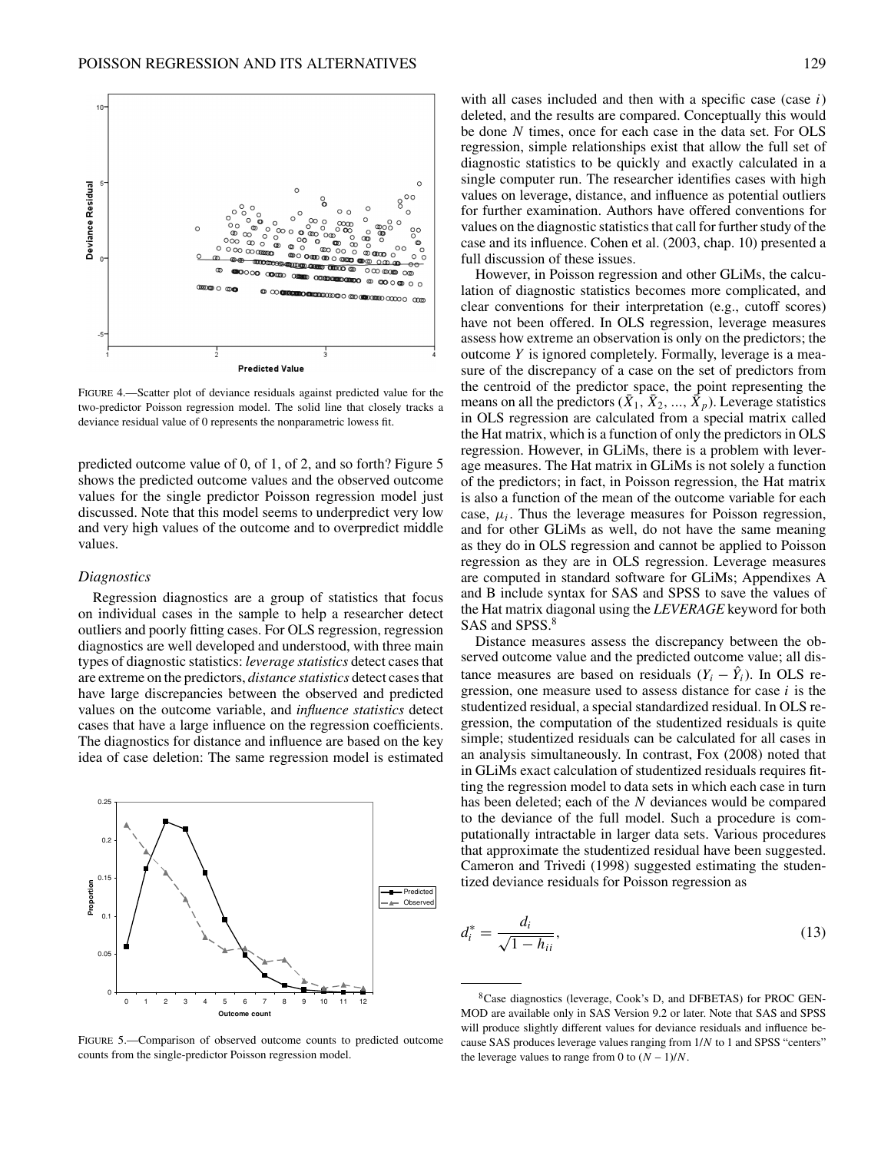

FIGURE 4.—Scatter plot of deviance residuals against predicted value for the two-predictor Poisson regression model. The solid line that closely tracks a deviance residual value of 0 represents the nonparametric lowess fit.

predicted outcome value of 0, of 1, of 2, and so forth? Figure 5 shows the predicted outcome values and the observed outcome values for the single predictor Poisson regression model just discussed. Note that this model seems to underpredict very low and very high values of the outcome and to overpredict middle values.

# *Diagnostics*

Regression diagnostics are a group of statistics that focus on individual cases in the sample to help a researcher detect outliers and poorly fitting cases. For OLS regression, regression diagnostics are well developed and understood, with three main types of diagnostic statistics: *leverage statistics* detect cases that are extreme on the predictors, *distance statistics* detect cases that have large discrepancies between the observed and predicted values on the outcome variable, and *influence statistics* detect cases that have a large influence on the regression coefficients. The diagnostics for distance and influence are based on the key idea of case deletion: The same regression model is estimated



FIGURE 5.—Comparison of observed outcome counts to predicted outcome counts from the single-predictor Poisson regression model.

with all cases included and then with a specific case (case *i*) deleted, and the results are compared. Conceptually this would be done *N* times, once for each case in the data set. For OLS regression, simple relationships exist that allow the full set of diagnostic statistics to be quickly and exactly calculated in a single computer run. The researcher identifies cases with high values on leverage, distance, and influence as potential outliers for further examination. Authors have offered conventions for values on the diagnostic statistics that call for further study of the case and its influence. Cohen et al. (2003, chap. 10) presented a full discussion of these issues.

However, in Poisson regression and other GLiMs, the calculation of diagnostic statistics becomes more complicated, and clear conventions for their interpretation (e.g., cutoff scores) have not been offered. In OLS regression, leverage measures assess how extreme an observation is only on the predictors; the outcome *Y* is ignored completely. Formally, leverage is a measure of the discrepancy of a case on the set of predictors from the centroid of the predictor space, the point representing the means on all the predictors  $(X_1, X_2, ..., X_p)$ . Leverage statistics in OLS regression are calculated from a special matrix called the Hat matrix, which is a function of only the predictors in OLS regression. However, in GLiMs, there is a problem with leverage measures. The Hat matrix in GLiMs is not solely a function of the predictors; in fact, in Poisson regression, the Hat matrix is also a function of the mean of the outcome variable for each case,  $\mu_i$ . Thus the leverage measures for Poisson regression, and for other GLiMs as well, do not have the same meaning as they do in OLS regression and cannot be applied to Poisson regression as they are in OLS regression. Leverage measures are computed in standard software for GLiMs; Appendixes A and B include syntax for SAS and SPSS to save the values of the Hat matrix diagonal using the *LEVERAGE* keyword for both SAS and SPSS.<sup>8</sup>

Distance measures assess the discrepancy between the observed outcome value and the predicted outcome value; all distance measures are based on residuals  $(Y_i - \hat{Y}_i)$ . In OLS regression, one measure used to assess distance for case *i* is the studentized residual, a special standardized residual. In OLS regression, the computation of the studentized residuals is quite simple; studentized residuals can be calculated for all cases in an analysis simultaneously. In contrast, Fox (2008) noted that in GLiMs exact calculation of studentized residuals requires fitting the regression model to data sets in which each case in turn has been deleted; each of the *N* deviances would be compared to the deviance of the full model. Such a procedure is computationally intractable in larger data sets. Various procedures that approximate the studentized residual have been suggested. Cameron and Trivedi (1998) suggested estimating the studentized deviance residuals for Poisson regression as

$$
d_i^* = \frac{d_i}{\sqrt{1 - h_{ii}}},\tag{13}
$$

8Case diagnostics (leverage, Cook's D, and DFBETAS) for PROC GEN-MOD are available only in SAS Version 9.2 or later. Note that SAS and SPSS will produce slightly different values for deviance residuals and influence because SAS produces leverage values ranging from 1/*N* to 1 and SPSS "centers" the leverage values to range from 0 to  $(N - 1)/N$ .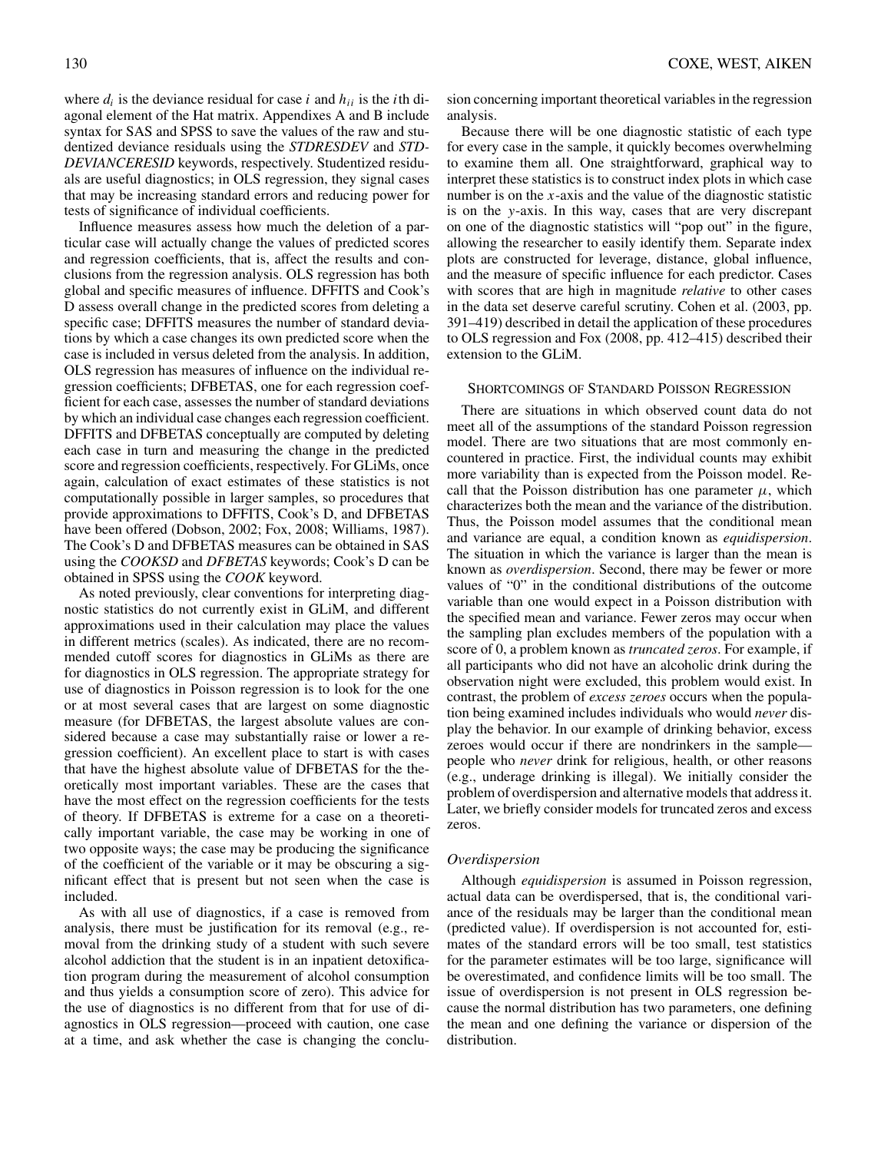where  $d_i$  is the deviance residual for case *i* and  $h_{ii}$  is the *i*th diagonal element of the Hat matrix. Appendixes A and B include syntax for SAS and SPSS to save the values of the raw and studentized deviance residuals using the *STDRESDEV* and *STD-DEVIANCERESID* keywords, respectively. Studentized residuals are useful diagnostics; in OLS regression, they signal cases that may be increasing standard errors and reducing power for tests of significance of individual coefficients.

Influence measures assess how much the deletion of a particular case will actually change the values of predicted scores and regression coefficients, that is, affect the results and conclusions from the regression analysis. OLS regression has both global and specific measures of influence. DFFITS and Cook's D assess overall change in the predicted scores from deleting a specific case; DFFITS measures the number of standard deviations by which a case changes its own predicted score when the case is included in versus deleted from the analysis. In addition, OLS regression has measures of influence on the individual regression coefficients; DFBETAS, one for each regression coefficient for each case, assesses the number of standard deviations by which an individual case changes each regression coefficient. DFFITS and DFBETAS conceptually are computed by deleting each case in turn and measuring the change in the predicted score and regression coefficients, respectively. For GLiMs, once again, calculation of exact estimates of these statistics is not computationally possible in larger samples, so procedures that provide approximations to DFFITS, Cook's D, and DFBETAS have been offered (Dobson, 2002; Fox, 2008; Williams, 1987). The Cook's D and DFBETAS measures can be obtained in SAS using the *COOKSD* and *DFBETAS* keywords; Cook's D can be obtained in SPSS using the *COOK* keyword.

As noted previously, clear conventions for interpreting diagnostic statistics do not currently exist in GLiM, and different approximations used in their calculation may place the values in different metrics (scales). As indicated, there are no recommended cutoff scores for diagnostics in GLiMs as there are for diagnostics in OLS regression. The appropriate strategy for use of diagnostics in Poisson regression is to look for the one or at most several cases that are largest on some diagnostic measure (for DFBETAS, the largest absolute values are considered because a case may substantially raise or lower a regression coefficient). An excellent place to start is with cases that have the highest absolute value of DFBETAS for the theoretically most important variables. These are the cases that have the most effect on the regression coefficients for the tests of theory. If DFBETAS is extreme for a case on a theoretically important variable, the case may be working in one of two opposite ways; the case may be producing the significance of the coefficient of the variable or it may be obscuring a significant effect that is present but not seen when the case is included.

As with all use of diagnostics, if a case is removed from analysis, there must be justification for its removal (e.g., removal from the drinking study of a student with such severe alcohol addiction that the student is in an inpatient detoxification program during the measurement of alcohol consumption and thus yields a consumption score of zero). This advice for the use of diagnostics is no different from that for use of diagnostics in OLS regression—proceed with caution, one case at a time, and ask whether the case is changing the conclusion concerning important theoretical variables in the regression analysis.

Because there will be one diagnostic statistic of each type for every case in the sample, it quickly becomes overwhelming to examine them all. One straightforward, graphical way to interpret these statistics is to construct index plots in which case number is on the *x*-axis and the value of the diagnostic statistic is on the *y*-axis. In this way, cases that are very discrepant on one of the diagnostic statistics will "pop out" in the figure, allowing the researcher to easily identify them. Separate index plots are constructed for leverage, distance, global influence, and the measure of specific influence for each predictor. Cases with scores that are high in magnitude *relative* to other cases in the data set deserve careful scrutiny. Cohen et al. (2003, pp. 391–419) described in detail the application of these procedures to OLS regression and Fox (2008, pp. 412–415) described their extension to the GLiM.

# SHORTCOMINGS OF STANDARD POISSON REGRESSION

There are situations in which observed count data do not meet all of the assumptions of the standard Poisson regression model. There are two situations that are most commonly encountered in practice. First, the individual counts may exhibit more variability than is expected from the Poisson model. Recall that the Poisson distribution has one parameter  $\mu$ , which characterizes both the mean and the variance of the distribution. Thus, the Poisson model assumes that the conditional mean and variance are equal, a condition known as *equidispersion*. The situation in which the variance is larger than the mean is known as *overdispersion*. Second, there may be fewer or more values of "0" in the conditional distributions of the outcome variable than one would expect in a Poisson distribution with the specified mean and variance. Fewer zeros may occur when the sampling plan excludes members of the population with a score of 0, a problem known as *truncated zeros*. For example, if all participants who did not have an alcoholic drink during the observation night were excluded, this problem would exist. In contrast, the problem of *excess zeroes* occurs when the population being examined includes individuals who would *never* display the behavior. In our example of drinking behavior, excess zeroes would occur if there are nondrinkers in the sample people who *never* drink for religious, health, or other reasons (e.g., underage drinking is illegal). We initially consider the problem of overdispersion and alternative models that address it. Later, we briefly consider models for truncated zeros and excess zeros.

#### *Overdispersion*

Although *equidispersion* is assumed in Poisson regression, actual data can be overdispersed, that is, the conditional variance of the residuals may be larger than the conditional mean (predicted value). If overdispersion is not accounted for, estimates of the standard errors will be too small, test statistics for the parameter estimates will be too large, significance will be overestimated, and confidence limits will be too small. The issue of overdispersion is not present in OLS regression because the normal distribution has two parameters, one defining the mean and one defining the variance or dispersion of the distribution.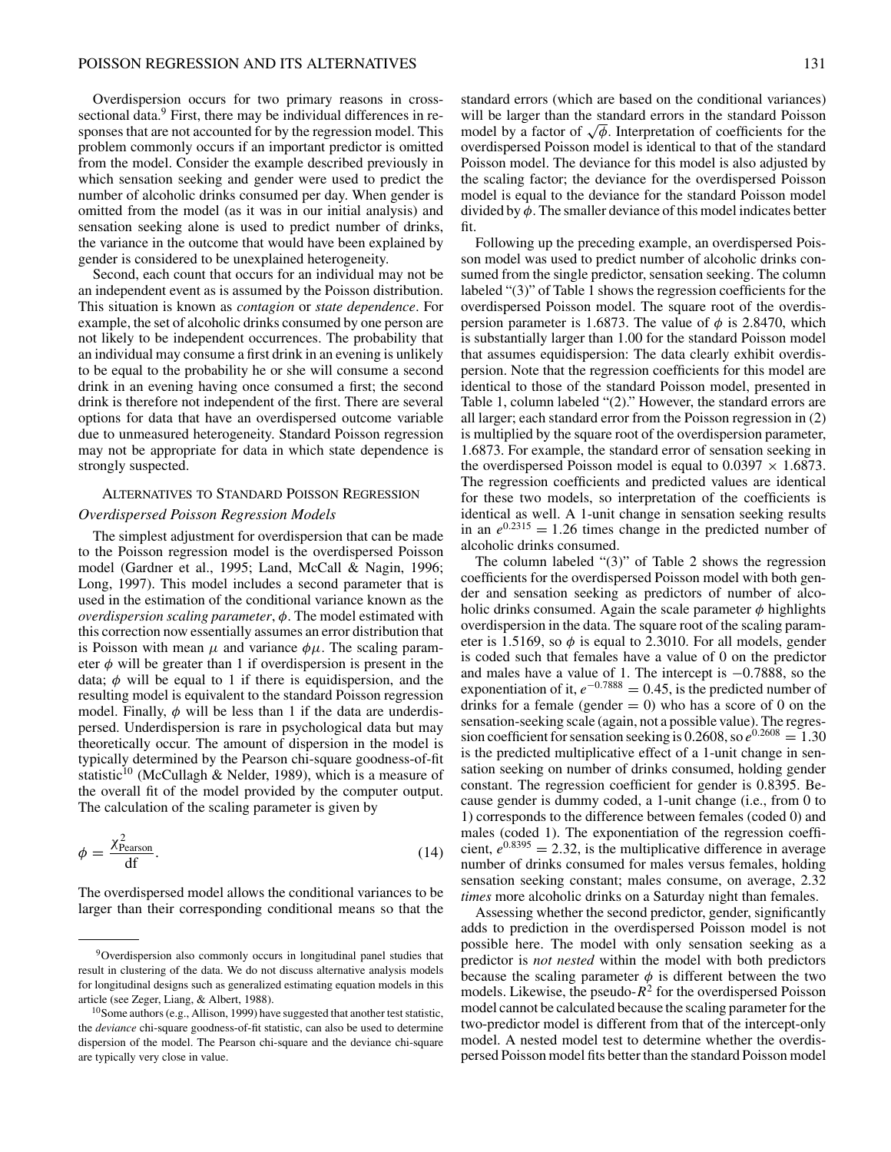Overdispersion occurs for two primary reasons in crosssectional data.<sup>9</sup> First, there may be individual differences in responses that are not accounted for by the regression model. This problem commonly occurs if an important predictor is omitted from the model. Consider the example described previously in which sensation seeking and gender were used to predict the number of alcoholic drinks consumed per day. When gender is omitted from the model (as it was in our initial analysis) and sensation seeking alone is used to predict number of drinks, the variance in the outcome that would have been explained by gender is considered to be unexplained heterogeneity.

Second, each count that occurs for an individual may not be an independent event as is assumed by the Poisson distribution. This situation is known as *contagion* or *state dependence*. For example, the set of alcoholic drinks consumed by one person are not likely to be independent occurrences. The probability that an individual may consume a first drink in an evening is unlikely to be equal to the probability he or she will consume a second drink in an evening having once consumed a first; the second drink is therefore not independent of the first. There are several options for data that have an overdispersed outcome variable due to unmeasured heterogeneity. Standard Poisson regression may not be appropriate for data in which state dependence is strongly suspected.

# ALTERNATIVES TO STANDARD POISSON REGRESSION

#### *Overdispersed Poisson Regression Models*

The simplest adjustment for overdispersion that can be made to the Poisson regression model is the overdispersed Poisson model (Gardner et al., 1995; Land, McCall & Nagin, 1996; Long, 1997). This model includes a second parameter that is used in the estimation of the conditional variance known as the *overdispersion scaling parameter*, *φ*. The model estimated with this correction now essentially assumes an error distribution that is Poisson with mean  $\mu$  and variance  $\phi\mu$ . The scaling parameter  $\phi$  will be greater than 1 if overdispersion is present in the data;  $\phi$  will be equal to 1 if there is equidispersion, and the resulting model is equivalent to the standard Poisson regression model. Finally,  $\phi$  will be less than 1 if the data are underdispersed. Underdispersion is rare in psychological data but may theoretically occur. The amount of dispersion in the model is typically determined by the Pearson chi-square goodness-of-fit statistic<sup>10</sup> (McCullagh & Nelder, 1989), which is a measure of the overall fit of the model provided by the computer output. The calculation of the scaling parameter is given by

$$
\phi = \frac{\chi_{\text{Pearson}}^2}{df}.\tag{14}
$$

The overdispersed model allows the conditional variances to be larger than their corresponding conditional means so that the standard errors (which are based on the conditional variances) will be larger than the standard errors in the standard Poisson model by a factor of  $\sqrt{\phi}$ . Interpretation of coefficients for the overdispersed Poisson model is identical to that of the standard Poisson model. The deviance for this model is also adjusted by the scaling factor; the deviance for the overdispersed Poisson model is equal to the deviance for the standard Poisson model divided by *φ*. The smaller deviance of this model indicates better fit.

Following up the preceding example, an overdispersed Poisson model was used to predict number of alcoholic drinks consumed from the single predictor, sensation seeking. The column labeled "(3)" of Table 1 shows the regression coefficients for the overdispersed Poisson model. The square root of the overdispersion parameter is 1.6873. The value of  $\phi$  is 2.8470, which is substantially larger than 1.00 for the standard Poisson model that assumes equidispersion: The data clearly exhibit overdispersion. Note that the regression coefficients for this model are identical to those of the standard Poisson model, presented in Table 1, column labeled "(2)." However, the standard errors are all larger; each standard error from the Poisson regression in (2) is multiplied by the square root of the overdispersion parameter, 1.6873. For example, the standard error of sensation seeking in the overdispersed Poisson model is equal to  $0.0397 \times 1.6873$ . The regression coefficients and predicted values are identical for these two models, so interpretation of the coefficients is identical as well. A 1-unit change in sensation seeking results in an  $e^{0.2315} = 1.26$  times change in the predicted number of alcoholic drinks consumed.

The column labeled "(3)" of Table 2 shows the regression coefficients for the overdispersed Poisson model with both gender and sensation seeking as predictors of number of alcoholic drinks consumed. Again the scale parameter *φ* highlights overdispersion in the data. The square root of the scaling parameter is 1.5169, so  $\phi$  is equal to 2.3010. For all models, gender is coded such that females have a value of 0 on the predictor and males have a value of 1. The intercept is −0.7888, so the exponentiation of it,  $e^{-0.7888} = 0.45$ , is the predicted number of drinks for a female (gender  $= 0$ ) who has a score of 0 on the sensation-seeking scale (again, not a possible value). The regression coefficient for sensation seeking is 0.2608, so  $e^{0.2608} = 1.30$ is the predicted multiplicative effect of a 1-unit change in sensation seeking on number of drinks consumed, holding gender constant. The regression coefficient for gender is 0.8395. Because gender is dummy coded, a 1-unit change (i.e., from 0 to 1) corresponds to the difference between females (coded 0) and males (coded 1). The exponentiation of the regression coefficient,  $e^{0.8395} = 2.32$ , is the multiplicative difference in average number of drinks consumed for males versus females, holding sensation seeking constant; males consume, on average, 2.32 *times* more alcoholic drinks on a Saturday night than females.

Assessing whether the second predictor, gender, significantly adds to prediction in the overdispersed Poisson model is not possible here. The model with only sensation seeking as a predictor is *not nested* within the model with both predictors because the scaling parameter  $\phi$  is different between the two models. Likewise, the pseudo- $R^2$  for the overdispersed Poisson model cannot be calculated because the scaling parameter for the two-predictor model is different from that of the intercept-only model. A nested model test to determine whether the overdispersed Poisson model fits better than the standard Poisson model

<sup>9</sup>Overdispersion also commonly occurs in longitudinal panel studies that result in clustering of the data. We do not discuss alternative analysis models for longitudinal designs such as generalized estimating equation models in this article (see Zeger, Liang, & Albert, 1988).

<sup>10</sup>Some authors (e.g., Allison, 1999) have suggested that another test statistic, the *deviance* chi-square goodness-of-fit statistic, can also be used to determine dispersion of the model. The Pearson chi-square and the deviance chi-square are typically very close in value.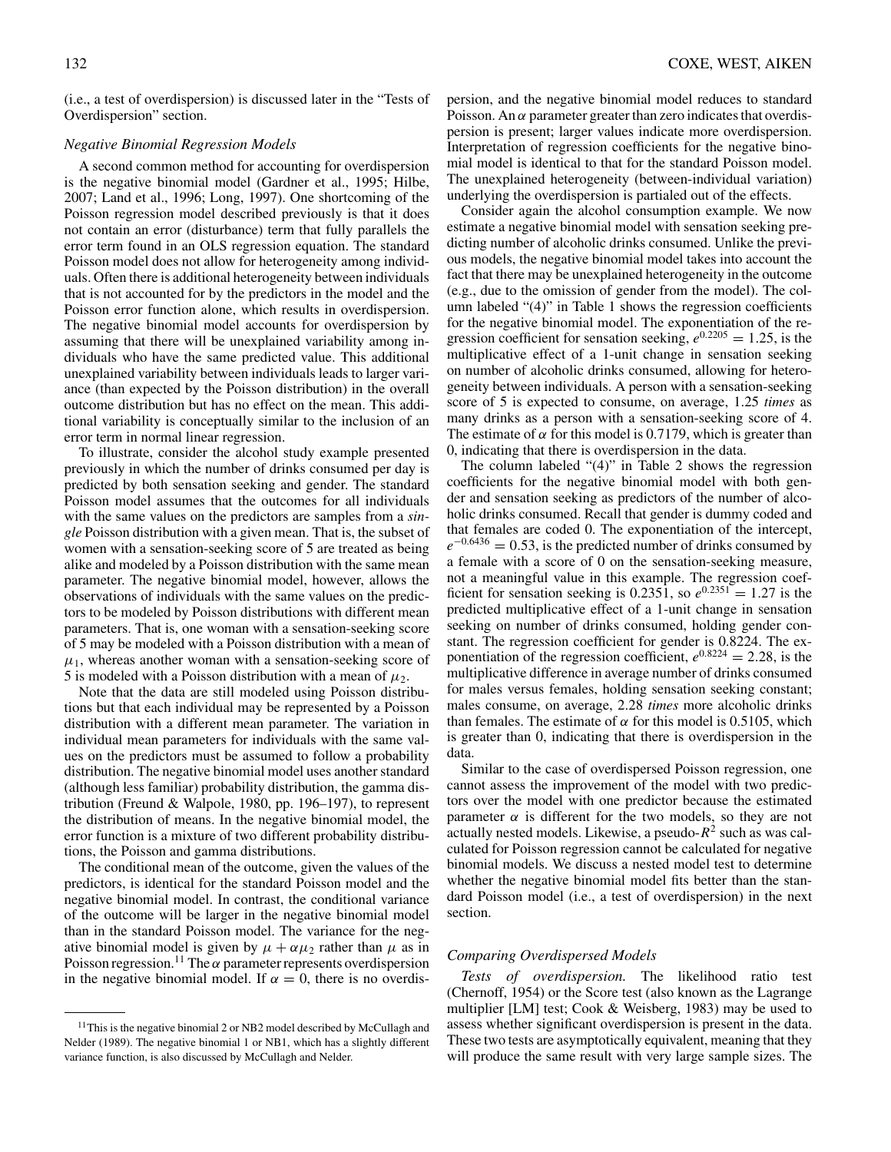(i.e., a test of overdispersion) is discussed later in the "Tests of Overdispersion" section.

# *Negative Binomial Regression Models*

A second common method for accounting for overdispersion is the negative binomial model (Gardner et al., 1995; Hilbe, 2007; Land et al., 1996; Long, 1997). One shortcoming of the Poisson regression model described previously is that it does not contain an error (disturbance) term that fully parallels the error term found in an OLS regression equation. The standard Poisson model does not allow for heterogeneity among individuals. Often there is additional heterogeneity between individuals that is not accounted for by the predictors in the model and the Poisson error function alone, which results in overdispersion. The negative binomial model accounts for overdispersion by assuming that there will be unexplained variability among individuals who have the same predicted value. This additional unexplained variability between individuals leads to larger variance (than expected by the Poisson distribution) in the overall outcome distribution but has no effect on the mean. This additional variability is conceptually similar to the inclusion of an error term in normal linear regression.

To illustrate, consider the alcohol study example presented previously in which the number of drinks consumed per day is predicted by both sensation seeking and gender. The standard Poisson model assumes that the outcomes for all individuals with the same values on the predictors are samples from a *single* Poisson distribution with a given mean. That is, the subset of women with a sensation-seeking score of 5 are treated as being alike and modeled by a Poisson distribution with the same mean parameter. The negative binomial model, however, allows the observations of individuals with the same values on the predictors to be modeled by Poisson distributions with different mean parameters. That is, one woman with a sensation-seeking score of 5 may be modeled with a Poisson distribution with a mean of  $\mu_1$ , whereas another woman with a sensation-seeking score of 5 is modeled with a Poisson distribution with a mean of  $\mu_2$ .

Note that the data are still modeled using Poisson distributions but that each individual may be represented by a Poisson distribution with a different mean parameter. The variation in individual mean parameters for individuals with the same values on the predictors must be assumed to follow a probability distribution. The negative binomial model uses another standard (although less familiar) probability distribution, the gamma distribution (Freund & Walpole, 1980, pp. 196–197), to represent the distribution of means. In the negative binomial model, the error function is a mixture of two different probability distributions, the Poisson and gamma distributions.

The conditional mean of the outcome, given the values of the predictors, is identical for the standard Poisson model and the negative binomial model. In contrast, the conditional variance of the outcome will be larger in the negative binomial model than in the standard Poisson model. The variance for the negative binomial model is given by  $\mu + \alpha \mu_2$  rather than  $\mu$  as in Poisson regression.<sup>11</sup> The  $\alpha$  parameter represents overdispersion in the negative binomial model. If  $\alpha = 0$ , there is no overdispersion, and the negative binomial model reduces to standard Poisson. An *α* parameter greater than zero indicates that overdispersion is present; larger values indicate more overdispersion. Interpretation of regression coefficients for the negative binomial model is identical to that for the standard Poisson model. The unexplained heterogeneity (between-individual variation) underlying the overdispersion is partialed out of the effects.

Consider again the alcohol consumption example. We now estimate a negative binomial model with sensation seeking predicting number of alcoholic drinks consumed. Unlike the previous models, the negative binomial model takes into account the fact that there may be unexplained heterogeneity in the outcome (e.g., due to the omission of gender from the model). The column labeled "(4)" in Table 1 shows the regression coefficients for the negative binomial model. The exponentiation of the regression coefficient for sensation seeking,  $e^{0.2205} = 1.25$ , is the multiplicative effect of a 1-unit change in sensation seeking on number of alcoholic drinks consumed, allowing for heterogeneity between individuals. A person with a sensation-seeking score of 5 is expected to consume, on average, 1.25 *times* as many drinks as a person with a sensation-seeking score of 4. The estimate of  $\alpha$  for this model is 0.7179, which is greater than 0, indicating that there is overdispersion in the data.

The column labeled "(4)" in Table 2 shows the regression coefficients for the negative binomial model with both gender and sensation seeking as predictors of the number of alcoholic drinks consumed. Recall that gender is dummy coded and that females are coded 0. The exponentiation of the intercept,  $e^{-0.6436} = 0.53$ , is the predicted number of drinks consumed by a female with a score of 0 on the sensation-seeking measure, not a meaningful value in this example. The regression coefficient for sensation seeking is 0.2351, so  $e^{0.2351} = 1.27$  is the predicted multiplicative effect of a 1-unit change in sensation seeking on number of drinks consumed, holding gender constant. The regression coefficient for gender is 0.8224. The exponentiation of the regression coefficient,  $e^{0.8224} = 2.28$ , is the multiplicative difference in average number of drinks consumed for males versus females, holding sensation seeking constant; males consume, on average, 2.28 *times* more alcoholic drinks than females. The estimate of  $\alpha$  for this model is 0.5105, which is greater than 0, indicating that there is overdispersion in the data.

Similar to the case of overdispersed Poisson regression, one cannot assess the improvement of the model with two predictors over the model with one predictor because the estimated parameter  $\alpha$  is different for the two models, so they are not actually nested models. Likewise, a pseudo-*R*<sup>2</sup> such as was calculated for Poisson regression cannot be calculated for negative binomial models. We discuss a nested model test to determine whether the negative binomial model fits better than the standard Poisson model (i.e., a test of overdispersion) in the next section.

#### *Comparing Overdispersed Models*

*Tests of overdispersion.* The likelihood ratio test (Chernoff, 1954) or the Score test (also known as the Lagrange multiplier [LM] test; Cook & Weisberg, 1983) may be used to assess whether significant overdispersion is present in the data. These two tests are asymptotically equivalent, meaning that they will produce the same result with very large sample sizes. The

<sup>&</sup>lt;sup>11</sup>This is the negative binomial 2 or NB2 model described by McCullagh and Nelder (1989). The negative binomial 1 or NB1, which has a slightly different variance function, is also discussed by McCullagh and Nelder.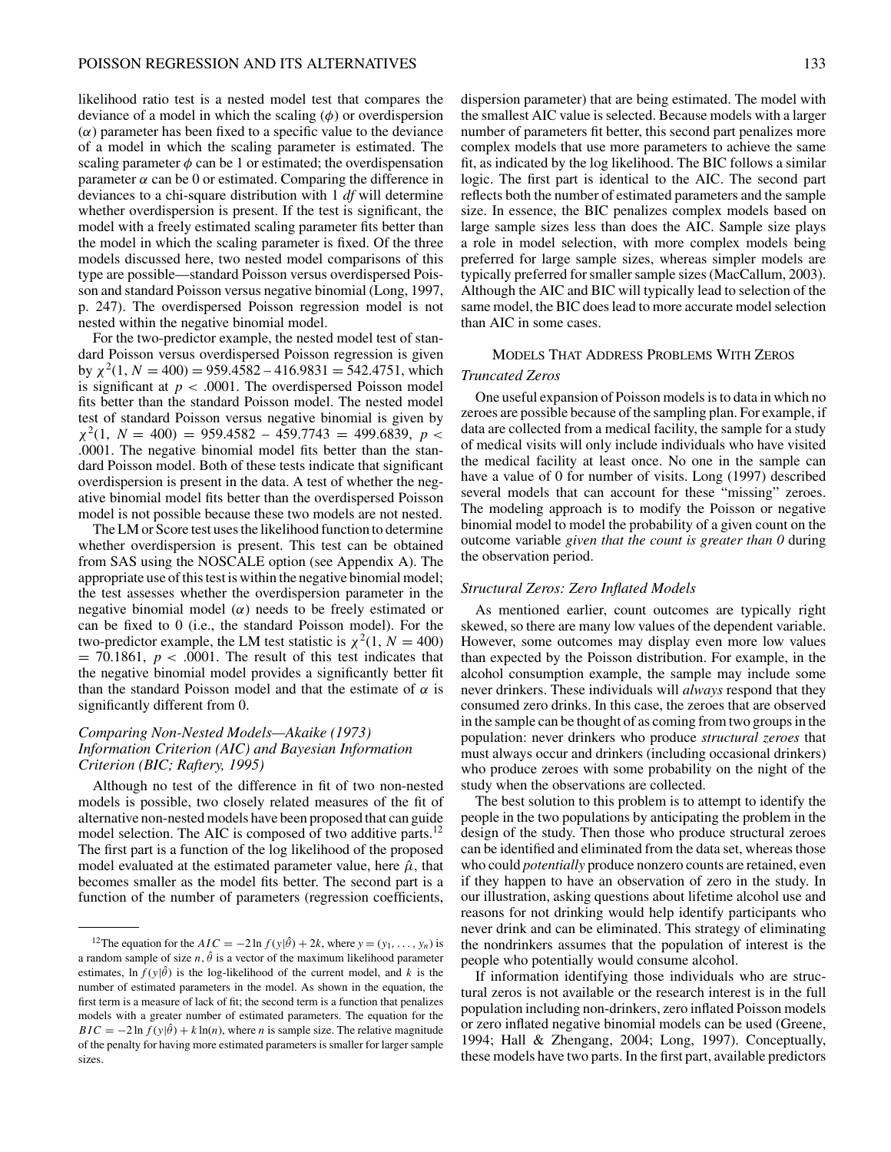likelihood ratio test is a nested model test that compares the deviance of a model in which the scaling (*φ*) or overdispersion  $(\alpha)$  parameter has been fixed to a specific value to the deviance of a model in which the scaling parameter is estimated. The scaling parameter  $\phi$  can be 1 or estimated; the overdispensation parameter  $\alpha$  can be 0 or estimated. Comparing the difference in deviances to a chi-square distribution with 1 *df* will determine whether overdispersion is present. If the test is significant, the model with a freely estimated scaling parameter fits better than the model in which the scaling parameter is fixed. Of the three models discussed here, two nested model comparisons of this type are possible—standard Poisson versus overdispersed Poisson and standard Poisson versus negative binomial (Long, 1997, p. 247). The overdispersed Poisson regression model is not nested within the negative binomial model.

For the two-predictor example, the nested model test of standard Poisson versus overdispersed Poisson regression is given by  $\chi^2(1, N = 400) = 959.4582 - 416.9831 = 542.4751$ , which is significant at *p <* .0001. The overdispersed Poisson model fits better than the standard Poisson model. The nested model test of standard Poisson versus negative binomial is given by *χ*2(1, *N* = 400) = 959.4582 – 459.7743 = 499.6839, *p <* .0001. The negative binomial model fits better than the standard Poisson model. Both of these tests indicate that significant overdispersion is present in the data. A test of whether the negative binomial model fits better than the overdispersed Poisson model is not possible because these two models are not nested.

The LM or Score test uses the likelihood function to determine whether overdispersion is present. This test can be obtained from SAS using the NOSCALE option (see Appendix A). The appropriate use of this test is within the negative binomial model; the test assesses whether the overdispersion parameter in the negative binomial model  $(\alpha)$  needs to be freely estimated or can be fixed to 0 (i.e., the standard Poisson model). For the two-predictor example, the LM test statistic is  $\chi^2(1, N = 400)$  $= 70.1861$ ,  $p < .0001$ . The result of this test indicates that the negative binomial model provides a significantly better fit than the standard Poisson model and that the estimate of  $\alpha$  is significantly different from 0.

# *Comparing Non-Nested Models—Akaike (1973) Information Criterion (AIC) and Bayesian Information Criterion (BIC; Raftery, 1995)*

Although no test of the difference in fit of two non-nested models is possible, two closely related measures of the fit of alternative non-nested models have been proposed that can guide model selection. The AIC is composed of two additive parts.<sup>12</sup> The first part is a function of the log likelihood of the proposed model evaluated at the estimated parameter value, here  $\hat{\mu}$ , that becomes smaller as the model fits better. The second part is a function of the number of parameters (regression coefficients, dispersion parameter) that are being estimated. The model with the smallest AIC value is selected. Because models with a larger number of parameters fit better, this second part penalizes more complex models that use more parameters to achieve the same fit, as indicated by the log likelihood. The BIC follows a similar logic. The first part is identical to the AIC. The second part reflects both the number of estimated parameters and the sample size. In essence, the BIC penalizes complex models based on large sample sizes less than does the AIC. Sample size plays a role in model selection, with more complex models being preferred for large sample sizes, whereas simpler models are typically preferred for smaller sample sizes (MacCallum, 2003). Although the AIC and BIC will typically lead to selection of the same model, the BIC does lead to more accurate model selection than AIC in some cases.

# MODELS THAT ADDRESS PROBLEMS WITH ZEROS

# *Truncated Zeros*

One useful expansion of Poisson models is to data in which no zeroes are possible because of the sampling plan. For example, if data are collected from a medical facility, the sample for a study of medical visits will only include individuals who have visited the medical facility at least once. No one in the sample can have a value of 0 for number of visits. Long (1997) described several models that can account for these "missing" zeroes. The modeling approach is to modify the Poisson or negative binomial model to model the probability of a given count on the outcome variable *given that the count is greater than 0* during the observation period.

#### *Structural Zeros: Zero Inflated Models*

As mentioned earlier, count outcomes are typically right skewed, so there are many low values of the dependent variable. However, some outcomes may display even more low values than expected by the Poisson distribution. For example, in the alcohol consumption example, the sample may include some never drinkers. These individuals will *always* respond that they consumed zero drinks. In this case, the zeroes that are observed in the sample can be thought of as coming from two groups in the population: never drinkers who produce *structural zeroes* that must always occur and drinkers (including occasional drinkers) who produce zeroes with some probability on the night of the study when the observations are collected.

The best solution to this problem is to attempt to identify the people in the two populations by anticipating the problem in the design of the study. Then those who produce structural zeroes can be identified and eliminated from the data set, whereas those who could *potentially* produce nonzero counts are retained, even if they happen to have an observation of zero in the study. In our illustration, asking questions about lifetime alcohol use and reasons for not drinking would help identify participants who never drink and can be eliminated. This strategy of eliminating the nondrinkers assumes that the population of interest is the people who potentially would consume alcohol.

If information identifying those individuals who are structural zeros is not available or the research interest is in the full population including non-drinkers, zero inflated Poisson models or zero inflated negative binomial models can be used (Greene, 1994; Hall & Zhengang, 2004; Long, 1997). Conceptually, these models have two parts. In the first part, available predictors

<sup>&</sup>lt;sup>12</sup>The equation for the  $AIC = -2 \ln f(y|\hat{\theta}) + 2k$ , where  $y = (y_1, \ldots, y_n)$  is a random sample of size  $n$ ,  $\hat{\theta}$  is a vector of the maximum likelihood parameter estimates, ln  $f(y|\hat{\theta})$  is the log-likelihood of the current model, and *k* is the number of estimated parameters in the model. As shown in the equation, the first term is a measure of lack of fit; the second term is a function that penalizes models with a greater number of estimated parameters. The equation for the *BIC* =  $-2\ln f(y|\hat{\theta}) + k \ln(n)$ , where *n* is sample size. The relative magnitude of the penalty for having more estimated parameters is smaller for larger sample sizes.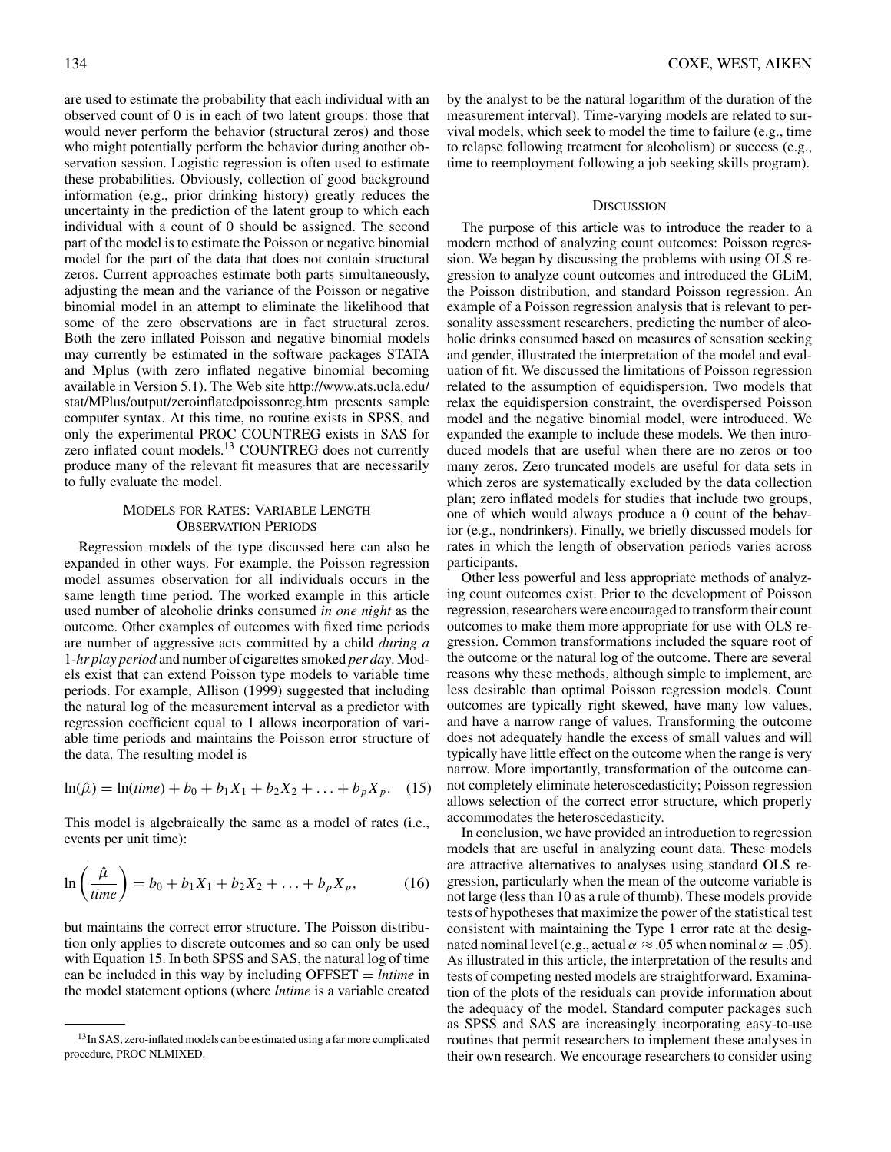are used to estimate the probability that each individual with an observed count of 0 is in each of two latent groups: those that would never perform the behavior (structural zeros) and those who might potentially perform the behavior during another observation session. Logistic regression is often used to estimate these probabilities. Obviously, collection of good background information (e.g., prior drinking history) greatly reduces the uncertainty in the prediction of the latent group to which each individual with a count of 0 should be assigned. The second part of the model is to estimate the Poisson or negative binomial model for the part of the data that does not contain structural zeros. Current approaches estimate both parts simultaneously, adjusting the mean and the variance of the Poisson or negative binomial model in an attempt to eliminate the likelihood that some of the zero observations are in fact structural zeros. Both the zero inflated Poisson and negative binomial models may currently be estimated in the software packages STATA and Mplus (with zero inflated negative binomial becoming available in Version 5.1). The Web site http://www.ats.ucla.edu/ stat/MPlus/output/zeroinflatedpoissonreg.htm presents sample computer syntax. At this time, no routine exists in SPSS, and only the experimental PROC COUNTREG exists in SAS for zero inflated count models.<sup>13</sup> COUNTREG does not currently produce many of the relevant fit measures that are necessarily to fully evaluate the model.

# MODELS FOR RATES: VARIABLE LENGTH OBSERVATION PERIODS

Regression models of the type discussed here can also be expanded in other ways. For example, the Poisson regression model assumes observation for all individuals occurs in the same length time period. The worked example in this article used number of alcoholic drinks consumed *in one night* as the outcome. Other examples of outcomes with fixed time periods are number of aggressive acts committed by a child *during a* 1-*hr play period* and number of cigarettes smoked *per day*. Models exist that can extend Poisson type models to variable time periods. For example, Allison (1999) suggested that including the natural log of the measurement interval as a predictor with regression coefficient equal to 1 allows incorporation of variable time periods and maintains the Poisson error structure of the data. The resulting model is

$$
\ln(\hat{\mu}) = \ln(\text{time}) + b_0 + b_1 X_1 + b_2 X_2 + \dots + b_p X_p. \quad (15)
$$

This model is algebraically the same as a model of rates (i.e., events per unit time):

$$
\ln\left(\frac{\hat{\mu}}{time}\right) = b_0 + b_1 X_1 + b_2 X_2 + \ldots + b_p X_p, \tag{16}
$$

but maintains the correct error structure. The Poisson distribution only applies to discrete outcomes and so can only be used with Equation 15. In both SPSS and SAS, the natural log of time can be included in this way by including OFFSET = *lntime* in the model statement options (where *lntime* is a variable created by the analyst to be the natural logarithm of the duration of the measurement interval). Time-varying models are related to survival models, which seek to model the time to failure (e.g., time to relapse following treatment for alcoholism) or success (e.g., time to reemployment following a job seeking skills program).

#### **DISCUSSION**

The purpose of this article was to introduce the reader to a modern method of analyzing count outcomes: Poisson regression. We began by discussing the problems with using OLS regression to analyze count outcomes and introduced the GLiM, the Poisson distribution, and standard Poisson regression. An example of a Poisson regression analysis that is relevant to personality assessment researchers, predicting the number of alcoholic drinks consumed based on measures of sensation seeking and gender, illustrated the interpretation of the model and evaluation of fit. We discussed the limitations of Poisson regression related to the assumption of equidispersion. Two models that relax the equidispersion constraint, the overdispersed Poisson model and the negative binomial model, were introduced. We expanded the example to include these models. We then introduced models that are useful when there are no zeros or too many zeros. Zero truncated models are useful for data sets in which zeros are systematically excluded by the data collection plan; zero inflated models for studies that include two groups, one of which would always produce a 0 count of the behavior (e.g., nondrinkers). Finally, we briefly discussed models for rates in which the length of observation periods varies across participants.

Other less powerful and less appropriate methods of analyzing count outcomes exist. Prior to the development of Poisson regression, researchers were encouraged to transform their count outcomes to make them more appropriate for use with OLS regression. Common transformations included the square root of the outcome or the natural log of the outcome. There are several reasons why these methods, although simple to implement, are less desirable than optimal Poisson regression models. Count outcomes are typically right skewed, have many low values, and have a narrow range of values. Transforming the outcome does not adequately handle the excess of small values and will typically have little effect on the outcome when the range is very narrow. More importantly, transformation of the outcome cannot completely eliminate heteroscedasticity; Poisson regression allows selection of the correct error structure, which properly accommodates the heteroscedasticity.

In conclusion, we have provided an introduction to regression models that are useful in analyzing count data. These models are attractive alternatives to analyses using standard OLS regression, particularly when the mean of the outcome variable is not large (less than 10 as a rule of thumb). These models provide tests of hypotheses that maximize the power of the statistical test consistent with maintaining the Type 1 error rate at the designated nominal level (e.g., actual  $\alpha \approx 0.05$  when nominal  $\alpha = 0.05$ ). As illustrated in this article, the interpretation of the results and tests of competing nested models are straightforward. Examination of the plots of the residuals can provide information about the adequacy of the model. Standard computer packages such as SPSS and SAS are increasingly incorporating easy-to-use routines that permit researchers to implement these analyses in their own research. We encourage researchers to consider using

<sup>&</sup>lt;sup>13</sup>In SAS, zero-inflated models can be estimated using a far more complicated procedure, PROC NLMIXED.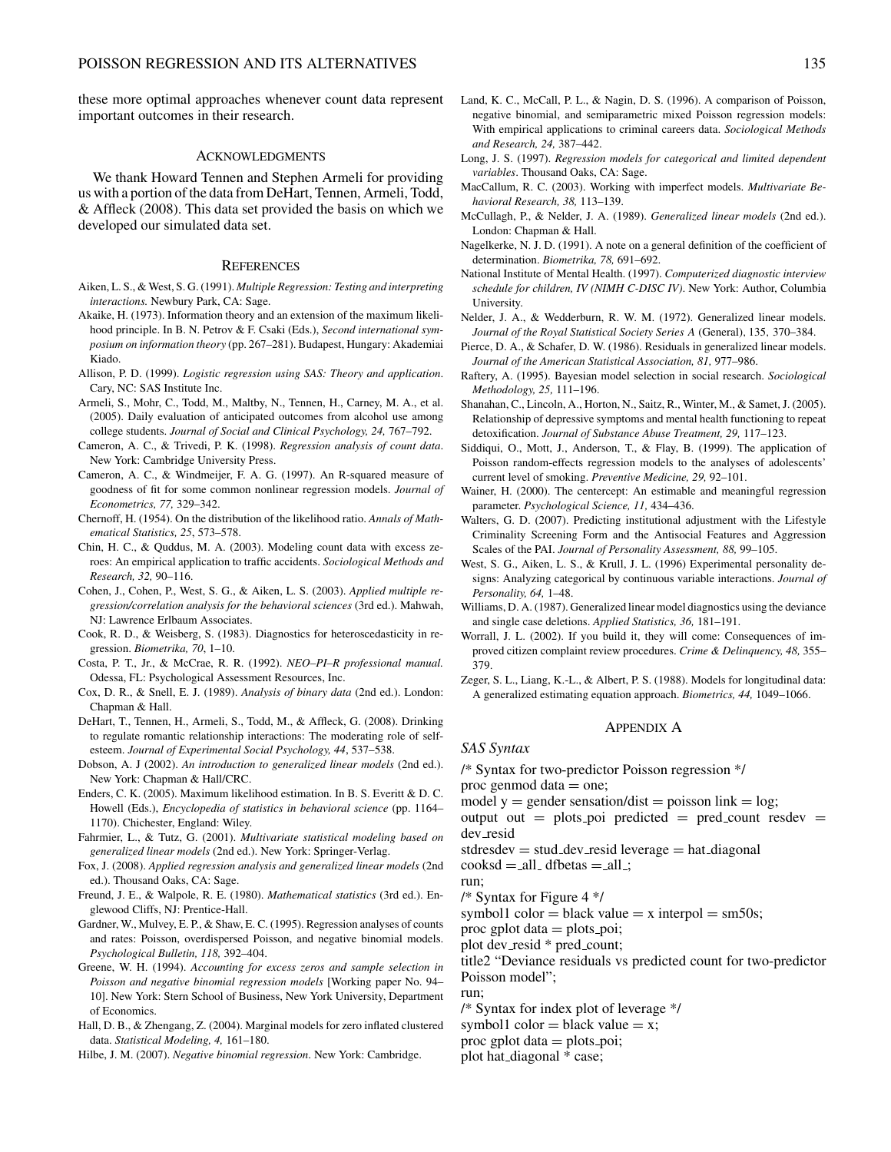these more optimal approaches whenever count data represent important outcomes in their research.

#### ACKNOWLEDGMENTS

We thank Howard Tennen and Stephen Armeli for providing us with a portion of the data from DeHart, Tennen, Armeli, Todd, & Affleck (2008). This data set provided the basis on which we developed our simulated data set.

#### **REFERENCES**

- Aiken, L. S., & West, S. G. (1991). *Multiple Regression: Testing and interpreting interactions.* Newbury Park, CA: Sage.
- Akaike, H. (1973). Information theory and an extension of the maximum likelihood principle. In B. N. Petrov & F. Csaki (Eds.), *Second international symposium on information theory* (pp. 267–281). Budapest, Hungary: Akademiai Kiado.
- Allison, P. D. (1999). *Logistic regression using SAS: Theory and application*. Cary, NC: SAS Institute Inc.
- Armeli, S., Mohr, C., Todd, M., Maltby, N., Tennen, H., Carney, M. A., et al. (2005). Daily evaluation of anticipated outcomes from alcohol use among college students. *Journal of Social and Clinical Psychology, 24,* 767–792.
- Cameron, A. C., & Trivedi, P. K. (1998). *Regression analysis of count data*. New York: Cambridge University Press.
- Cameron, A. C., & Windmeijer, F. A. G. (1997). An R-squared measure of goodness of fit for some common nonlinear regression models. *Journal of Econometrics, 77,* 329–342.
- Chernoff, H. (1954). On the distribution of the likelihood ratio. *Annals of Mathematical Statistics, 25*, 573–578.
- Chin, H. C., & Quddus, M. A. (2003). Modeling count data with excess zeroes: An empirical application to traffic accidents. *Sociological Methods and Research, 32,* 90–116.
- Cohen, J., Cohen, P., West, S. G., & Aiken, L. S. (2003). *Applied multiple regression/correlation analysis for the behavioral sciences* (3rd ed.). Mahwah, NJ: Lawrence Erlbaum Associates.
- Cook, R. D., & Weisberg, S. (1983). Diagnostics for heteroscedasticity in regression. *Biometrika, 70*, 1–10.
- Costa, P. T., Jr., & McCrae, R. R. (1992). *NEO–PI–R professional manual.* Odessa, FL: Psychological Assessment Resources, Inc.
- Cox, D. R., & Snell, E. J. (1989). *Analysis of binary data* (2nd ed.). London: Chapman & Hall.
- DeHart, T., Tennen, H., Armeli, S., Todd, M., & Affleck, G. (2008). Drinking to regulate romantic relationship interactions: The moderating role of selfesteem. *Journal of Experimental Social Psychology, 44*, 537–538.
- Dobson, A. J (2002). *An introduction to generalized linear models* (2nd ed.). New York: Chapman & Hall/CRC.
- Enders, C. K. (2005). Maximum likelihood estimation. In B. S. Everitt & D. C. Howell (Eds.), *Encyclopedia of statistics in behavioral science* (pp. 1164– 1170). Chichester, England: Wiley.
- Fahrmier, L., & Tutz, G. (2001). *Multivariate statistical modeling based on generalized linear models* (2nd ed.). New York: Springer-Verlag.
- Fox, J. (2008). *Applied regression analysis and generalized linear models* (2nd ed.). Thousand Oaks, CA: Sage.
- Freund, J. E., & Walpole, R. E. (1980). *Mathematical statistics* (3rd ed.). Englewood Cliffs, NJ: Prentice-Hall.
- Gardner, W., Mulvey, E. P., & Shaw, E. C. (1995). Regression analyses of counts and rates: Poisson, overdispersed Poisson, and negative binomial models. *Psychological Bulletin, 118,* 392–404.
- Greene, W. H. (1994). *Accounting for excess zeros and sample selection in Poisson and negative binomial regression models* [Working paper No. 94– 10]. New York: Stern School of Business, New York University, Department of Economics.
- Hall, D. B., & Zhengang, Z. (2004). Marginal models for zero inflated clustered data. *Statistical Modeling, 4,* 161–180.
- Hilbe, J. M. (2007). *Negative binomial regression*. New York: Cambridge.
- Land, K. C., McCall, P. L., & Nagin, D. S. (1996). A comparison of Poisson, negative binomial, and semiparametric mixed Poisson regression models: With empirical applications to criminal careers data. *Sociological Methods and Research, 24,* 387–442.
- Long, J. S. (1997). *Regression models for categorical and limited dependent variables*. Thousand Oaks, CA: Sage.
- MacCallum, R. C. (2003). Working with imperfect models. *Multivariate Behavioral Research, 38,* 113–139.
- McCullagh, P., & Nelder, J. A. (1989). *Generalized linear models* (2nd ed.). London: Chapman & Hall.
- Nagelkerke, N. J. D. (1991). A note on a general definition of the coefficient of determination. *Biometrika, 78,* 691–692.
- National Institute of Mental Health. (1997). *Computerized diagnostic interview schedule for children, IV (NIMH C-DISC IV)*. New York: Author, Columbia University.
- Nelder, J. A., & Wedderburn, R. W. M. (1972). Generalized linear models. *Journal of the Royal Statistical Society Series A* (General)*,* 135*,* 370–384.
- Pierce, D. A., & Schafer, D. W. (1986). Residuals in generalized linear models. *Journal of the American Statistical Association, 81,* 977–986.
- Raftery, A. (1995). Bayesian model selection in social research. *Sociological Methodology, 25,* 111–196.
- Shanahan, C., Lincoln, A., Horton, N., Saitz, R., Winter, M., & Samet, J. (2005). Relationship of depressive symptoms and mental health functioning to repeat detoxification. *Journal of Substance Abuse Treatment, 29,* 117–123.
- Siddiqui, O., Mott, J., Anderson, T., & Flay, B. (1999). The application of Poisson random-effects regression models to the analyses of adolescents' current level of smoking. *Preventive Medicine, 29,* 92–101.
- Wainer, H. (2000). The centercept: An estimable and meaningful regression parameter. *Psychological Science, 11,* 434–436.
- Walters, G. D. (2007). Predicting institutional adjustment with the Lifestyle Criminality Screening Form and the Antisocial Features and Aggression Scales of the PAI. *Journal of Personality Assessment, 88,* 99–105.
- West, S. G., Aiken, L. S., & Krull, J. L. (1996) Experimental personality designs: Analyzing categorical by continuous variable interactions. *Journal of Personality, 64,* 1–48.
- Williams, D. A. (1987). Generalized linear model diagnostics using the deviance and single case deletions. *Applied Statistics, 36,* 181–191.
- Worrall, J. L. (2002). If you build it, they will come: Consequences of improved citizen complaint review procedures. *Crime & Delinquency, 48,* 355– 379.
- Zeger, S. L., Liang, K.-L., & Albert, P. S. (1988). Models for longitudinal data: A generalized estimating equation approach. *Biometrics, 44,* 1049–1066.

#### APPENDIX A

*SAS Syntax*

/\* Syntax for two-predictor Poisson regression \*/

proc genmod data  $=$  one;

model y = gender sensation/dist = poisson link =  $log$ ;

output out  $=$  plots poi predicted  $=$  pred count resdev  $=$ dev\_resid

 $stdresdev = stud\_dev\_resid$  leverage  $= hat\_diagonal$ 

 $\text{cooksd} = \text{all}$  dfbetas =  $\text{all}$ ;

run;

/\* Syntax for Figure 4 \*/

symbol1 color = black value = x interpol =  $\text{sm50s}$ ;

 $proc$  gplot data  $=$  plots\_poi;

plot dev\_resid \* pred\_count;

title2 "Deviance residuals vs predicted count for two-predictor Poisson model";

run;

/\* Syntax for index plot of leverage \*/

- symbol1 color = black value =  $x$ ;
- $proc$  gplot data  $=$  plots\_poi;

plot hat\_diagonal \* case;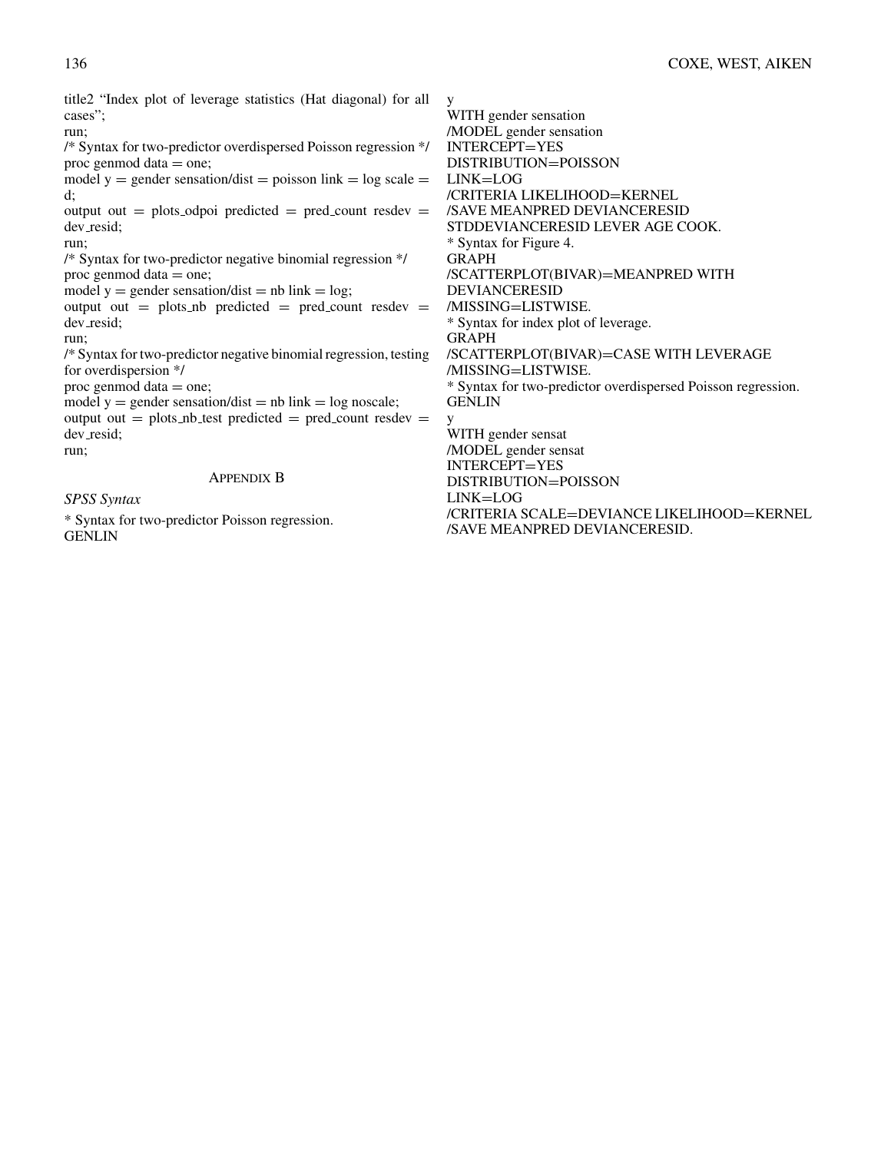| title2 "Index plot of leverage statistics (Hat diagonal) for all<br>cases"; | y<br>WITH gender sensation                                   |
|-----------------------------------------------------------------------------|--------------------------------------------------------------|
| run;                                                                        | /MODEL gender sensation                                      |
| /* Syntax for two-predictor overdispersed Poisson regression */             | <b>INTERCEPT=YES</b>                                         |
| proc genmod data $=$ one;                                                   | DISTRIBUTION=POISSON                                         |
| model $y =$ gender sensation/dist = poisson link = log scale =              | $LINK=LOG$                                                   |
| d:                                                                          | /CRITERIA LIKELIHOOD=KERNEL                                  |
| output out = plots_odpoi predicted = pred_count resdev =                    | <b>/SAVE MEANPRED DEVIANCERESID</b>                          |
| $dev\_resid;$                                                               | STDDEVIANCERESID LEVER AGE COOK.                             |
| run;                                                                        | * Syntax for Figure 4.                                       |
| /* Syntax for two-predictor negative binomial regression */                 | <b>GRAPH</b>                                                 |
| proc genmod data $=$ one;                                                   | /SCATTERPLOT(BIVAR)=MEANPRED WITH                            |
| model $y =$ gender sensation/dist = nb link = log;                          | DEVIANCERESID                                                |
| output out = plots_nb predicted = pred_count resdev =                       | /MISSING=LISTWISE.                                           |
| $dev\_resid;$                                                               | * Syntax for index plot of leverage.                         |
| run:                                                                        | <b>GRAPH</b>                                                 |
| /* Syntax for two-predictor negative binomial regression, testing           | /SCATTERPLOT(BIVAR)=CASE WITH LEVERAGE                       |
| for overdispersion */                                                       | /MISSING=LISTWISE.                                           |
| proc genmod data $=$ one;                                                   | * Syntax for two-predictor overdispersed Poisson regression. |
| model $y =$ gender sensation/dist = nb link = log noscale;                  | <b>GENLIN</b>                                                |
| output out = plots_nb_test predicted = pred_count resdev =                  |                                                              |
| $dev\_resid;$                                                               | WITH gender sensat                                           |
| run;                                                                        | /MODEL gender sensat                                         |
|                                                                             | <b>INTERCEPT=YES</b>                                         |
| <b>APPENDIX B</b>                                                           | DISTRIBUTION=POISSON                                         |
| <b>SPSS</b> Syntax                                                          | $LINK=LOG$                                                   |
| * Syntax for two predictor Poisson regression                               | /CRITERIA SCALE=DEVIANCE LIKELIHOOD=KERNEL                   |

/SAVE MEANPRED DEVIANCERESID.

\* Syntax for two-predictor Poisson regression. GENLIN